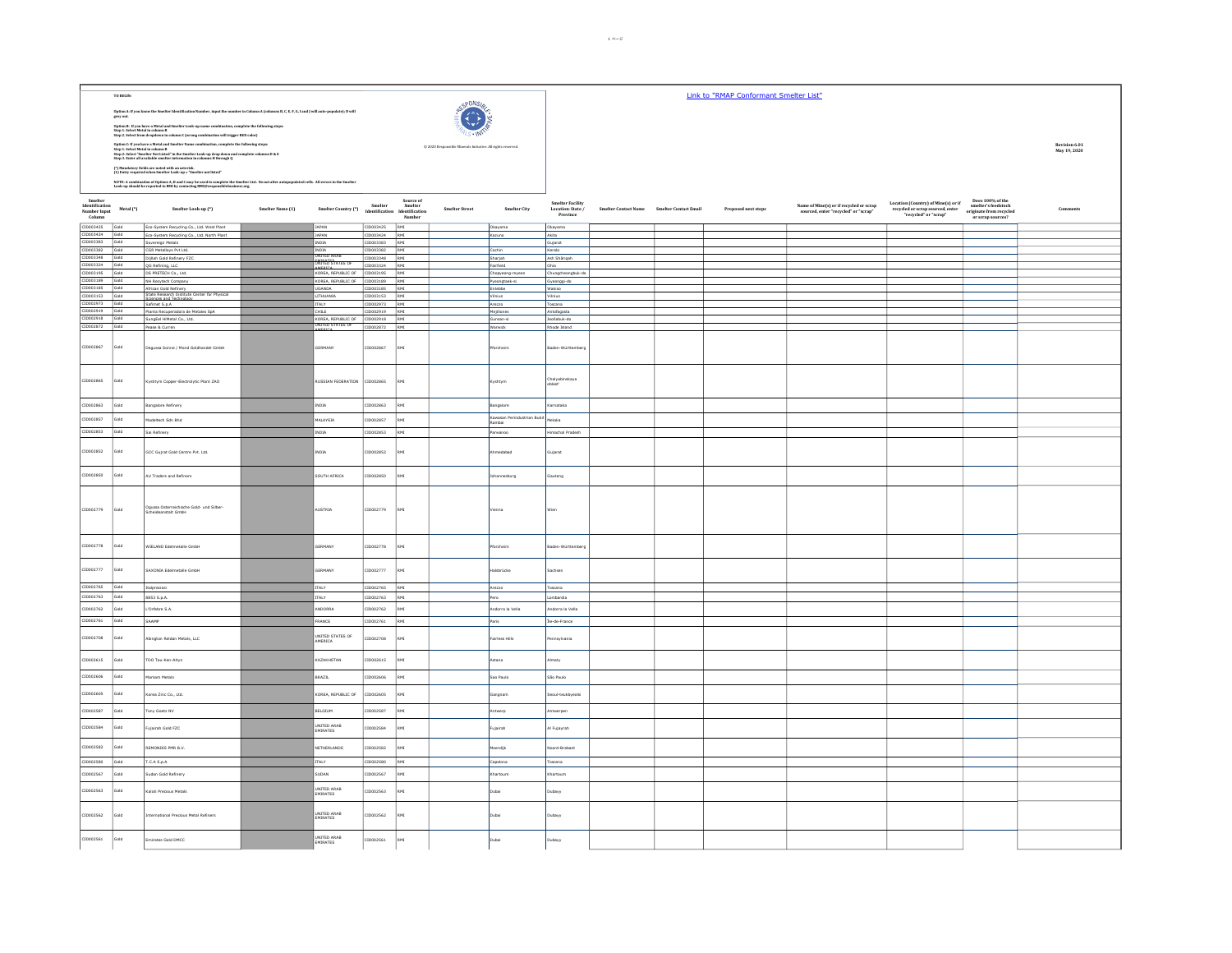|                                                     | TO BEGIN:    |                                                                                                                                                                                                                                         |                  |                                                                                                                                                                                                                                                                                                                                                                                                                                                                                                                                                                                     |                                |             |                                                        |                                       |                                                   |                                                                                          | Link to "RMAP Conformant Smelter List" |                                                                                 |                                                                                                                                                      |                                                                                         |               |
|-----------------------------------------------------|--------------|-----------------------------------------------------------------------------------------------------------------------------------------------------------------------------------------------------------------------------------------|------------------|-------------------------------------------------------------------------------------------------------------------------------------------------------------------------------------------------------------------------------------------------------------------------------------------------------------------------------------------------------------------------------------------------------------------------------------------------------------------------------------------------------------------------------------------------------------------------------------|--------------------------------|-------------|--------------------------------------------------------|---------------------------------------|---------------------------------------------------|------------------------------------------------------------------------------------------|----------------------------------------|---------------------------------------------------------------------------------|------------------------------------------------------------------------------------------------------------------------------------------------------|-----------------------------------------------------------------------------------------|---------------|
|                                                     |              | Option A: If you know the Smelter Identification Number, input the number in Column A (columns B, C, E, F, G, I and J will auto-populate); D will grey out.                                                                             |                  |                                                                                                                                                                                                                                                                                                                                                                                                                                                                                                                                                                                     |                                |             | onne                                                   |                                       |                                                   |                                                                                          |                                        |                                                                                 |                                                                                                                                                      |                                                                                         |               |
|                                                     |              | Option R: If you have a Metal and Smeëter Look-up name combination, complete the following steps:<br>Step 1. Select Metal in celumn B<br>Step 2. Select from dropdown in column C (wreng combination will trigger RED celor)            |                  |                                                                                                                                                                                                                                                                                                                                                                                                                                                                                                                                                                                     |                                |             |                                                        |                                       |                                                   |                                                                                          |                                        |                                                                                 |                                                                                                                                                      |                                                                                         |               |
|                                                     |              |                                                                                                                                                                                                                                         |                  |                                                                                                                                                                                                                                                                                                                                                                                                                                                                                                                                                                                     |                                |             | © 2020 Responsible Minerals Initiative. All rights res |                                       |                                                   |                                                                                          |                                        |                                                                                 |                                                                                                                                                      |                                                                                         | Revision 6.01 |
|                                                     |              | Option C: if you have a Metal and Smelter Name combination, complete the following steps:<br>Step 1. Select Metal in column B<br>Step 2: Select "Smelter Not Listed" in the Smelter Look-up drop down and complete columns D & E<br>Ste |                  |                                                                                                                                                                                                                                                                                                                                                                                                                                                                                                                                                                                     |                                |             |                                                        |                                       |                                                   |                                                                                          |                                        |                                                                                 |                                                                                                                                                      |                                                                                         | May 19, 2020  |
|                                                     |              | (*)<br>Mandatory fields are noted with an asterisk. (1) Entry required when<br>Smelter Look-up = "Smelter not listed"                                                                                                                   |                  |                                                                                                                                                                                                                                                                                                                                                                                                                                                                                                                                                                                     |                                |             |                                                        |                                       |                                                   |                                                                                          |                                        |                                                                                 |                                                                                                                                                      |                                                                                         |               |
|                                                     |              |                                                                                                                                                                                                                                         |                  |                                                                                                                                                                                                                                                                                                                                                                                                                                                                                                                                                                                     |                                |             |                                                        |                                       |                                                   |                                                                                          |                                        |                                                                                 |                                                                                                                                                      |                                                                                         |               |
|                                                     |              | NOTE: A combination of Options A, B and C may be used to complete the Smelter List. Do not alter autopopulated cells. All errors in the Smelter Look-up should be reported to RMI by contacting RMI@responsiblebusiness.org,            |                  |                                                                                                                                                                                                                                                                                                                                                                                                                                                                                                                                                                                     |                                |             |                                                        |                                       |                                                   |                                                                                          |                                        |                                                                                 |                                                                                                                                                      |                                                                                         |               |
| Smelter<br>Identification<br>Number Input<br>Column | Metal (*)    | Smelter Look-up (*)                                                                                                                                                                                                                     | Smelter Name (1) | $\begin{tabular}{ll} Source of \\ Smelter Country (*) & Smelter \\ \end{tabular} \begin{tabular}{ll} \multicolumn{3}{c}{Source of} \\ Identification & Identification \\ \multicolumn{3}{c}{Mechification} \\ \multicolumn{3}{c}{Mechification} \\ \multicolumn{3}{c}{Mclation} \\ \multicolumn{3}{c}{Mclation} \\ \multicolumn{3}{c}{Mclation} \\ \multicolumn{3}{c}{Mclation} \\ \multicolumn{3}{c}{Mclation} \\ \multicolumn{3}{c}{Mclation} \\ \multicolumn{3}{c}{Mclation} \\ \multicolumn{3}{c}{Mclation} \\ \multicolumn{3}{c}{Mclation} \\ \multicolumn{3}{c}{Mclation} \\$ |                                | Number      | <b>Smelter Street</b>                                  | Smelter City                          | Smelter Facility<br>Location: State /<br>Province | $\label{eq:smelter} \textbf{Smelter Contact Name} \qquad \textbf{Smelter Contact Email}$ | Proposed next steps                    | Name of Mine(s) or if recycled or scrap<br>sourced, enter "recycled" or "scrap" | Location (Country) of Mine(s) or if<br>$\operatorname{recycled}$ or scrap sourced, enter $\operatorname{``recycled''}$ or $\operatorname{``scrap''}$ | Does 100% of the<br>smelter's feedstock<br>originate from recycled<br>or scrap sources? | Comments      |
| CID003425 Gold                                      |              | Eco-System Recycling Co., Ltd. West Plant                                                                                                                                                                                               |                  | JAPAN                                                                                                                                                                                                                                                                                                                                                                                                                                                                                                                                                                               | CID003425 RMI                  |             |                                                        | Okayama                               | Okayama                                           |                                                                                          |                                        |                                                                                 |                                                                                                                                                      |                                                                                         |               |
| CID003424 Gold<br>CID003383 Gold                    |              | Eco-System Recycling Co., Ltd. North Plant<br>Sovereign Metals                                                                                                                                                                          |                  | <b>JAPAN</b><br><b>INDIA</b>                                                                                                                                                                                                                                                                                                                                                                                                                                                                                                                                                        | CID003424 RMI<br>CID003383 RMI |             |                                                        | Kazuno                                | Akita<br>Gujarat                                  |                                                                                          |                                        |                                                                                 |                                                                                                                                                      |                                                                                         |               |
| CID003382 Gold                                      |              | CGR Metalloys Pvt Ltd.                                                                                                                                                                                                                  |                  | INDIA<br>UNITED ARAB                                                                                                                                                                                                                                                                                                                                                                                                                                                                                                                                                                | CID003382 RMI                  |             |                                                        | Cochin                                | Kerala                                            |                                                                                          |                                        |                                                                                 |                                                                                                                                                      |                                                                                         |               |
| CID003348 Gold<br>CID003324 Gold                    |              | Dijllah Gold Refinery FZC<br>QG Refining, LLC                                                                                                                                                                                           |                  | <b>NIPATES</b> STATES OF                                                                                                                                                                                                                                                                                                                                                                                                                                                                                                                                                            | CID003348 RMI<br>CID003324 RMI |             |                                                        | Sharjah<br>Fairfield                  | Ash Sharigah<br>Ohio                              |                                                                                          |                                        |                                                                                 |                                                                                                                                                      |                                                                                         |               |
| CID003195 Gold                                      |              | DS PRETECH Co., Ltd.                                                                                                                                                                                                                    |                  | KOREA, REPUBLIC OF CID003195 RMI                                                                                                                                                                                                                                                                                                                                                                                                                                                                                                                                                    |                                |             |                                                        | Chopyeong-myeor                       | Chungcheongbuk-do                                 |                                                                                          |                                        |                                                                                 |                                                                                                                                                      |                                                                                         |               |
| CID003189 Gold<br>CID003185 Gold                    |              | NH Recytech Company                                                                                                                                                                                                                     |                  | KOREA, REPUBLIC OF CID003189 RMI<br>UGANDA                                                                                                                                                                                                                                                                                                                                                                                                                                                                                                                                          | CID003185 RMI                  |             |                                                        | Pyeongtaek-si<br>Entebbe              | Gyeonggi-do<br>Wakiso                             |                                                                                          |                                        |                                                                                 |                                                                                                                                                      |                                                                                         |               |
| CID003153 Gold                                      |              | African Gold Refinery<br>State Research Institute Center for Physical<br>Sciences and Technology                                                                                                                                        |                  | LITHUANIA                                                                                                                                                                                                                                                                                                                                                                                                                                                                                                                                                                           | CID003153 RMI                  |             |                                                        | dinius                                | Vilnius                                           |                                                                                          |                                        |                                                                                 |                                                                                                                                                      |                                                                                         |               |
| CID002973 Gold<br>CID002919 Gold                    |              | Safimet S.p.A<br>Planta Recuperadora de Metales SpA                                                                                                                                                                                     |                  | <b>ITALY</b><br>CHILE                                                                                                                                                                                                                                                                                                                                                                                                                                                                                                                                                               | CID002973 RMI<br>CID002919 RMI |             |                                                        | Arezzo<br>Mejillones                  | Toscana<br>Antofagasta                            |                                                                                          |                                        |                                                                                 |                                                                                                                                                      |                                                                                         |               |
| CID002918 Gold<br>CID002872 Gold                    |              | SungEel HiMetal Co., Ltd.                                                                                                                                                                                                               |                  | KOREA, REPUBLIC OF CID002918 RMI<br>NITED STATES OF                                                                                                                                                                                                                                                                                                                                                                                                                                                                                                                                 |                                |             |                                                        | Gunsan-si                             | Jeollabuk-do                                      |                                                                                          |                                        |                                                                                 |                                                                                                                                                      |                                                                                         |               |
|                                                     |              | Pease & Curren                                                                                                                                                                                                                          |                  | cosca                                                                                                                                                                                                                                                                                                                                                                                                                                                                                                                                                                               | CID002872 RMI                  |             |                                                        | Warwick                               | Rhode Island                                      |                                                                                          |                                        |                                                                                 |                                                                                                                                                      |                                                                                         |               |
| CID002867                                           | Gold         | Degussa Sonne / Mond Goldhandel GmbH                                                                                                                                                                                                    |                  | GERMANY                                                                                                                                                                                                                                                                                                                                                                                                                                                                                                                                                                             | CID002867                      | RMI         |                                                        | forzheim                              | Baden-Württember                                  |                                                                                          |                                        |                                                                                 |                                                                                                                                                      |                                                                                         |               |
| CID002865                                           | bloz         |                                                                                                                                                                                                                                         |                  |                                                                                                                                                                                                                                                                                                                                                                                                                                                                                                                                                                                     |                                |             |                                                        |                                       |                                                   |                                                                                          |                                        |                                                                                 |                                                                                                                                                      |                                                                                         |               |
|                                                     |              | Kyshtym Copper-Electrolytic Plant ZAO                                                                                                                                                                                                   |                  | <b>NUSSIAN FEDERATION</b>                                                                                                                                                                                                                                                                                                                                                                                                                                                                                                                                                           | ID002865                       |             |                                                        | Cyshtym                               | Chelyabinskaya<br>oblast'                         |                                                                                          |                                        |                                                                                 |                                                                                                                                                      |                                                                                         |               |
| CID002863                                           | Gold         | Bangalore Refinery                                                                                                                                                                                                                      |                  | INDIA                                                                                                                                                                                                                                                                                                                                                                                                                                                                                                                                                                               | CID002863                      | RMI         |                                                        | <b>Bangalore</b>                      | Karnataka                                         |                                                                                          |                                        |                                                                                 |                                                                                                                                                      |                                                                                         |               |
| CID002857                                           | <b>Mio2</b>  | Modeltech Sdn Bhd                                                                                                                                                                                                                       |                  | 4ALAYSIA                                                                                                                                                                                                                                                                                                                                                                                                                                                                                                                                                                            | CID002857                      | RMI         |                                                        | Kawasan Perindustrian Bukit<br>Rambai |                                                   |                                                                                          |                                        |                                                                                 |                                                                                                                                                      |                                                                                         |               |
| CID002853                                           | Gold         | Sai Refinery                                                                                                                                                                                                                            |                  | <b>INDIA</b>                                                                                                                                                                                                                                                                                                                                                                                                                                                                                                                                                                        | CID002853                      | RMI         |                                                        | arwanoo                               | Himachal Pradesh                                  |                                                                                          |                                        |                                                                                 |                                                                                                                                                      |                                                                                         |               |
| CID002852                                           | <b>Gold</b>  | GCC Gujrat Gold Centre Pvt. Ltd.                                                                                                                                                                                                        |                  | INDIA                                                                                                                                                                                                                                                                                                                                                                                                                                                                                                                                                                               | CID002852                      | RMI         |                                                        | medabad                               | iujarat                                           |                                                                                          |                                        |                                                                                 |                                                                                                                                                      |                                                                                         |               |
| CID002850                                           | Gold         | AU Traders and Refiners                                                                                                                                                                                                                 |                  | SOUTH AFRICA                                                                                                                                                                                                                                                                                                                                                                                                                                                                                                                                                                        | 028500013                      | RMI         |                                                        | hannesburg                            | suteng                                            |                                                                                          |                                        |                                                                                 |                                                                                                                                                      |                                                                                         |               |
| CID002779                                           | Gold         | Ogussa Osterreichische Gold- und Silber-<br>Scheideanstalt GmbH                                                                                                                                                                         |                  | AUSTRIA                                                                                                                                                                                                                                                                                                                                                                                                                                                                                                                                                                             | CID002779                      | RMI         |                                                        | ienna                                 | Vien                                              |                                                                                          |                                        |                                                                                 |                                                                                                                                                      |                                                                                         |               |
| CID002778                                           | bloi         | WIELAND Edelmetalle GmbH                                                                                                                                                                                                                |                  | SERMANY                                                                                                                                                                                                                                                                                                                                                                                                                                                                                                                                                                             | ID002778                       | RMI         |                                                        | orzheim                               | laden-Württemberg                                 |                                                                                          |                                        |                                                                                 |                                                                                                                                                      |                                                                                         |               |
|                                                     |              |                                                                                                                                                                                                                                         |                  |                                                                                                                                                                                                                                                                                                                                                                                                                                                                                                                                                                                     |                                |             |                                                        |                                       |                                                   |                                                                                          |                                        |                                                                                 |                                                                                                                                                      |                                                                                         |               |
| CID002777                                           | bloi         | SAXONIA Edelmetalle GmbH                                                                                                                                                                                                                |                  | SERMANY                                                                                                                                                                                                                                                                                                                                                                                                                                                                                                                                                                             | ID002777                       | <b>RMI</b>  |                                                        | isbrücke                              | achser                                            |                                                                                          |                                        |                                                                                 |                                                                                                                                                      |                                                                                         |               |
| CID002765 Gold                                      |              | Italpreziosi                                                                                                                                                                                                                            |                  | ITALY                                                                                                                                                                                                                                                                                                                                                                                                                                                                                                                                                                               | CID002765 RMI                  |             |                                                        | Arezzo                                | Toscana                                           |                                                                                          |                                        |                                                                                 |                                                                                                                                                      |                                                                                         |               |
| CID002763                                           | Gold         | 8853 S.p.A.                                                                                                                                                                                                                             |                  | <b>ITALY</b>                                                                                                                                                                                                                                                                                                                                                                                                                                                                                                                                                                        | CID002763                      | RMI         |                                                        | Pero                                  | Lombardia                                         |                                                                                          |                                        |                                                                                 |                                                                                                                                                      |                                                                                         |               |
| CID002762                                           | Gold         | L'Orfebre S.A.                                                                                                                                                                                                                          |                  | MDORRA                                                                                                                                                                                                                                                                                                                                                                                                                                                                                                                                                                              | CID002762                      | RMI         |                                                        | ndorra la Vella                       | ındorra la Vella                                  |                                                                                          |                                        |                                                                                 |                                                                                                                                                      |                                                                                         |               |
| CID002761                                           | Gold         | SAAMP                                                                                                                                                                                                                                   |                  | FRANCE                                                                                                                                                                                                                                                                                                                                                                                                                                                                                                                                                                              | CID002761                      | RMI         |                                                        | Paris                                 | Île-de-France                                     |                                                                                          |                                        |                                                                                 |                                                                                                                                                      |                                                                                         |               |
| CID002708                                           | bloi         | Abington Reldan Metals, LLC                                                                                                                                                                                                             |                  | UNITED STATES OF<br>AMERICA                                                                                                                                                                                                                                                                                                                                                                                                                                                                                                                                                         | CID002708                      | RMI         |                                                        | Fairless Hills                        | nnsylvania                                        |                                                                                          |                                        |                                                                                 |                                                                                                                                                      |                                                                                         |               |
| CID002615                                           | bloz         | TOO Tau-Ken-Altyn                                                                                                                                                                                                                       |                  | KAZAKHSTAN                                                                                                                                                                                                                                                                                                                                                                                                                                                                                                                                                                          | CID002615                      | $_{\rm RM}$ |                                                        | stana                                 | Jmaty                                             |                                                                                          |                                        |                                                                                 |                                                                                                                                                      |                                                                                         |               |
| CID002606                                           | bloz         | Marsam Metals                                                                                                                                                                                                                           |                  | BRAZIL                                                                                                                                                                                                                                                                                                                                                                                                                                                                                                                                                                              | 10002606                       | RMT         |                                                        | ao Paulo                              | São Paulo                                         |                                                                                          |                                        |                                                                                 |                                                                                                                                                      |                                                                                         |               |
| CID002605                                           | old          | Korea Zinc Co., Ltd.                                                                                                                                                                                                                    |                  | KOREA, REPUBLIC OF                                                                                                                                                                                                                                                                                                                                                                                                                                                                                                                                                                  | CID002605                      | RMI         |                                                        | angnam                                | ieoul-teukbyeoisi                                 |                                                                                          |                                        |                                                                                 |                                                                                                                                                      |                                                                                         |               |
| CID002587                                           | Gold         | Tony Goetz NV                                                                                                                                                                                                                           |                  | BELGIUM                                                                                                                                                                                                                                                                                                                                                                                                                                                                                                                                                                             | CID002587                      | RMI         |                                                        | twerp                                 | twerpen                                           |                                                                                          |                                        |                                                                                 |                                                                                                                                                      |                                                                                         |               |
| CID002584                                           | bloz         | ujairah Gold FZC                                                                                                                                                                                                                        |                  | UNITED ARAB<br>EMIRATES                                                                                                                                                                                                                                                                                                                                                                                                                                                                                                                                                             | CID002584                      | RMI         |                                                        | jairah                                | Al Fujayrah                                       |                                                                                          |                                        |                                                                                 |                                                                                                                                                      |                                                                                         |               |
| CID002582                                           | old          | REMONDIS PMR B.V.                                                                                                                                                                                                                       |                  | NETHERLANDS                                                                                                                                                                                                                                                                                                                                                                                                                                                                                                                                                                         | CID002582                      | RMI         |                                                        | erdijk                                | pord-Brabant                                      |                                                                                          |                                        |                                                                                 |                                                                                                                                                      |                                                                                         |               |
| CID002580<br>CID002567                              | Gold<br>bloi | T.C.A S.p.A<br>Sudan Gold Refinery                                                                                                                                                                                                      |                  | <b>ITALY</b><br>SUDAN                                                                                                                                                                                                                                                                                                                                                                                                                                                                                                                                                               | CID002580<br>CID002567         | RMI<br>RMI  |                                                        | Capolona<br>hartoum                   | Toscana<br>hartoum                                |                                                                                          |                                        |                                                                                 |                                                                                                                                                      |                                                                                         |               |
| CID002563                                           | bloi         | Kaloti Precious Metals                                                                                                                                                                                                                  |                  | UNITED ARAB<br>EMIRATES                                                                                                                                                                                                                                                                                                                                                                                                                                                                                                                                                             | CID002563                      | RMI         |                                                        | ubai                                  | ubayy                                             |                                                                                          |                                        |                                                                                 |                                                                                                                                                      |                                                                                         |               |
| CID002562                                           | bloi         | ernational Precious Metal Refiners                                                                                                                                                                                                      |                  | UNITED ARAB<br>EMIRATES                                                                                                                                                                                                                                                                                                                                                                                                                                                                                                                                                             | D002562                        | RMI         |                                                        |                                       | abayy                                             |                                                                                          |                                        |                                                                                 |                                                                                                                                                      |                                                                                         |               |
| CID002561                                           | Gold         | Emirates Gold DMCC                                                                                                                                                                                                                      |                  | <b>UNITED ARAB</b><br>EMIRATES                                                                                                                                                                                                                                                                                                                                                                                                                                                                                                                                                      | CID002561                      | RMI         |                                                        | Dubai                                 | Dubayy                                            |                                                                                          |                                        |                                                                                 |                                                                                                                                                      |                                                                                         |               |
|                                                     |              |                                                                                                                                                                                                                                         |                  |                                                                                                                                                                                                                                                                                                                                                                                                                                                                                                                                                                                     |                                |             |                                                        |                                       |                                                   |                                                                                          |                                        |                                                                                 |                                                                                                                                                      |                                                                                         |               |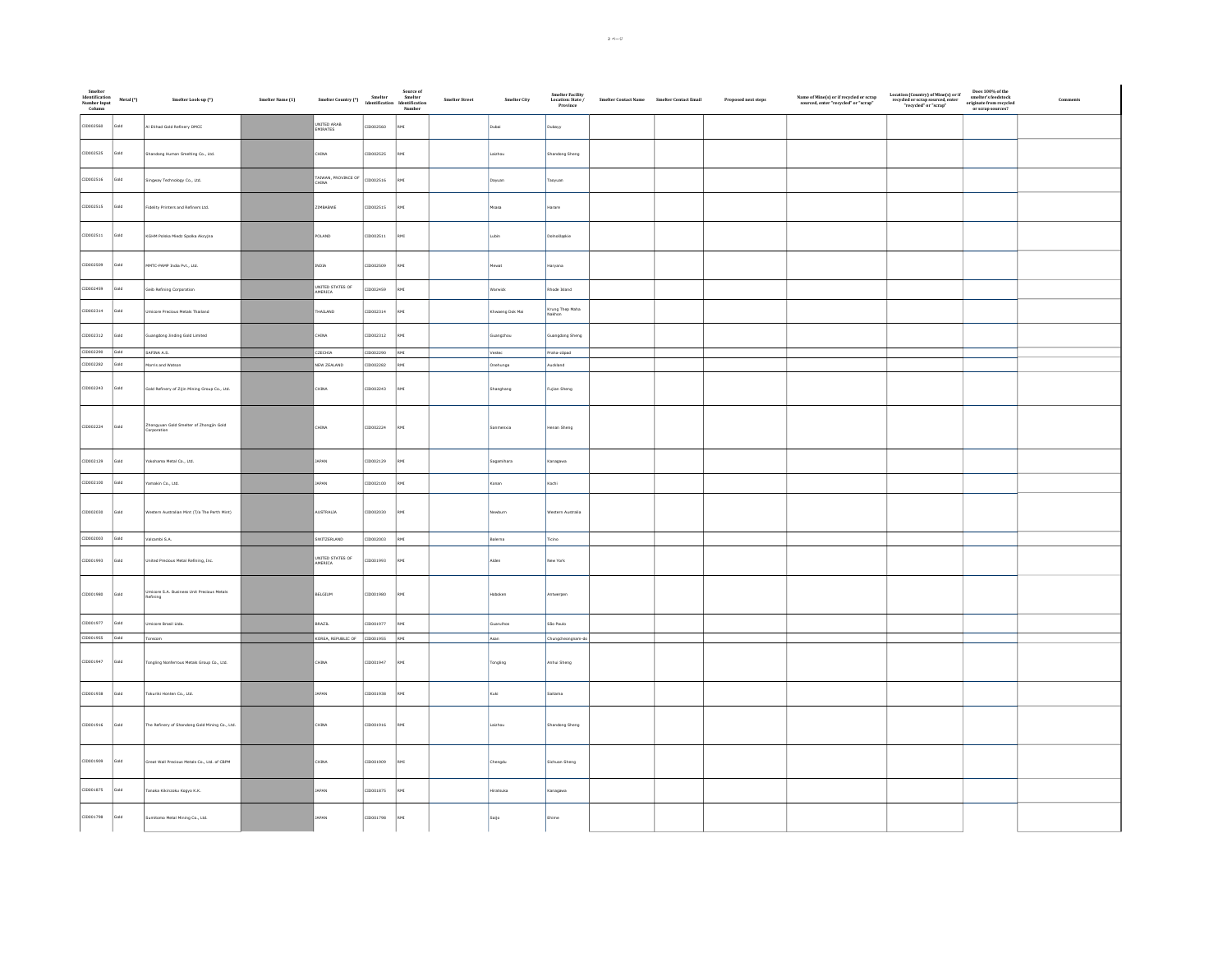| Smelter<br>Identification<br>Number Input<br>Column | Metal (*) | Smelter Look-up (*)                                    | Smelter Name (1) | Source of<br>Smelter Country (*)<br>Smelter – Smelter<br>Identification<br>Number<br>Number |           |          | ${\sf Smelter\, Street}$ | Smelter $\mathrm{City}$ | Smelter Facility<br>Location: State /<br>Province | $\begin{minipage}{.4\linewidth} \textbf{Smelter Contact Name} \end{minipage} \begin{minipage}{.4\linewidth} \textbf{Smeller Contact Email} \end{minipage}$ | Proposed next steps | $\begin{array}{c} \textbf{Name of Mine(s) or if recycled or scrap} \\ \textbf{sourced, enter "recycled" or "scrap"} \end{array}$ | Location (Country) of Mine(s) or if<br>recycled or scrap sourced, enter<br>"recycled" or "scrap" | $\begin{array}{c} \text{Does 100\% of the} \\ \text{smelter's feedback} \\ \text{originate from recycled} \end{array}$<br>or scrap sources? | Comment |
|-----------------------------------------------------|-----------|--------------------------------------------------------|------------------|---------------------------------------------------------------------------------------------|-----------|----------|--------------------------|-------------------------|---------------------------------------------------|------------------------------------------------------------------------------------------------------------------------------------------------------------|---------------------|----------------------------------------------------------------------------------------------------------------------------------|--------------------------------------------------------------------------------------------------|---------------------------------------------------------------------------------------------------------------------------------------------|---------|
| CID002560                                           | Gold      | Al Etihad Gold Refinery DMCC                           |                  | UNITED ARAB<br>EMIRATES                                                                     | CID002560 | RMI      |                          | Dubai                   | Dubayy                                            |                                                                                                                                                            |                     |                                                                                                                                  |                                                                                                  |                                                                                                                                             |         |
| CID002525                                           | Gold      | Shandong Humon Smelting Co., Ltd.                      |                  | <b>AINA</b>                                                                                 | CID002525 | RMI      |                          | Laizhou                 | Shandong Sheng                                    |                                                                                                                                                            |                     |                                                                                                                                  |                                                                                                  |                                                                                                                                             |         |
| CID002516                                           | Gold      | Singway Technology Co., Ltd.                           |                  | TAIWAN, PROVINCE OF<br>CHINA                                                                | CID002516 |          |                          | Dayuan                  | aoyuan                                            |                                                                                                                                                            |                     |                                                                                                                                  |                                                                                                  |                                                                                                                                             |         |
| CID002515                                           | Gold      | Fidelity Printers and Refiners Ltd.                    |                  | ZIMBABWE                                                                                    | CID002515 | RMI      |                          | Msasa                   | Harare                                            |                                                                                                                                                            |                     |                                                                                                                                  |                                                                                                  |                                                                                                                                             |         |
| CID002511                                           | Gold      | KGHM Polska Miedz Spolka Akcyjna                       |                  | POLAND                                                                                      | CID002511 | RMI      |                          | Lubin                   | Dolnośląskie                                      |                                                                                                                                                            |                     |                                                                                                                                  |                                                                                                  |                                                                                                                                             |         |
| CID002509                                           | Gold      | MMTC-PAMP India Pvt., Ltd.                             |                  | INDIA                                                                                       | CID002509 | IMS      |                          | Mewat                   | Haryana                                           |                                                                                                                                                            |                     |                                                                                                                                  |                                                                                                  |                                                                                                                                             |         |
| CID002459                                           | Gold      | Geib Refining Corporation                              |                  | UNITED STATES OF<br>AMERICA                                                                 | CID002459 | RMI      |                          | Warwick                 | Rhode Island                                      |                                                                                                                                                            |                     |                                                                                                                                  |                                                                                                  |                                                                                                                                             |         |
| CID002314                                           | Gold      | micore Precious Metals Thailand                        |                  | HAILAND                                                                                     | CID002314 | RMI      |                          | Khwaeng Dok Mai         | Krung Thep Maha<br>Nakhon                         |                                                                                                                                                            |                     |                                                                                                                                  |                                                                                                  |                                                                                                                                             |         |
| CID002312                                           | Gold      | Guangdong Jinding Gold Limited                         |                  | CHINA                                                                                       | CID002312 | IMS      |                          | Guangzhou               | Guangdong Sheng                                   |                                                                                                                                                            |                     |                                                                                                                                  |                                                                                                  |                                                                                                                                             |         |
| CID002290 Gold                                      |           | SAFINA A.S.                                            |                  | CZECHIA                                                                                     | CID002290 | RMI      |                          | Vestec                  | Praha-západ                                       |                                                                                                                                                            |                     |                                                                                                                                  |                                                                                                  |                                                                                                                                             |         |
| CID002282                                           | Gold      | Morris and Watson                                      |                  | NEW ZEALAND                                                                                 | CID002282 | RMI      |                          | Onehunga                | Auckland                                          |                                                                                                                                                            |                     |                                                                                                                                  |                                                                                                  |                                                                                                                                             |         |
| CID002243                                           | Gold      | Gold Refinery of Zijin Mining Group Co., Ltd.          |                  | CHINA                                                                                       | CID002243 | RMI      |                          | Shanghang               | Fujian Sheng                                      |                                                                                                                                                            |                     |                                                                                                                                  |                                                                                                  |                                                                                                                                             |         |
| CID002224                                           | Gold      | Zhongyuan Gold Smelter of Zhongjin Gold<br>Corporation |                  | <b>CHINA</b>                                                                                | CID002224 | RMI      |                          | Sanmenxia               | Henan Sheng                                       |                                                                                                                                                            |                     |                                                                                                                                  |                                                                                                  |                                                                                                                                             |         |
| CID002129                                           | Gold      | Yokohama Metal Co., Ltd.                               |                  | JAPAN                                                                                       | CID002129 | RMI      |                          | Sagamihara              | Kanagawa                                          |                                                                                                                                                            |                     |                                                                                                                                  |                                                                                                  |                                                                                                                                             |         |
| CID002100                                           | Gold      | Yamakin Co., Ltd.                                      |                  | JAPAN                                                                                       | CID002100 | RMI      |                          | Konan                   | Kochi                                             |                                                                                                                                                            |                     |                                                                                                                                  |                                                                                                  |                                                                                                                                             |         |
| CID002030                                           | Gold      | Western Australian Mint (T/a The Perth Mint)           |                  | AUSTRALIA                                                                                   | CID002030 | RMI      |                          | Newburn                 | Western Australia                                 |                                                                                                                                                            |                     |                                                                                                                                  |                                                                                                  |                                                                                                                                             |         |
| CID002003                                           | Gold      | Valcambi S.A.                                          |                  | SWITZERLAND                                                                                 | CID002003 | RMI      |                          | Balerna                 | Tidino                                            |                                                                                                                                                            |                     |                                                                                                                                  |                                                                                                  |                                                                                                                                             |         |
| CID001993                                           | Gold      | United Precious Metal Refining, Inc.                   |                  | UNITED STATES OF<br>AMERICA                                                                 | CID001993 | .<br>RMI |                          | Alden                   | New York                                          |                                                                                                                                                            |                     |                                                                                                                                  |                                                                                                  |                                                                                                                                             |         |
| CID001980                                           | Gold      | Umicore S.A. Business Unit Precious Metals<br>Refining |                  | BELGIUM                                                                                     | CID001980 | RMI      |                          | Hoboken                 | Antwerpen                                         |                                                                                                                                                            |                     |                                                                                                                                  |                                                                                                  |                                                                                                                                             |         |
| CID001977                                           | Gold      | ticore Brasil Ltda.                                    |                  | BRAZIL                                                                                      | ID001977  | IM3      |                          | .<br>Suarulhos          | São Paulo                                         |                                                                                                                                                            |                     |                                                                                                                                  |                                                                                                  |                                                                                                                                             |         |
| CID001955 Gold                                      |           | Torecom                                                |                  | KOREA, REPUBLIC OF CID001955                                                                |           | RMI      |                          | Asan                    | Chungcheongnam-do                                 |                                                                                                                                                            |                     |                                                                                                                                  |                                                                                                  |                                                                                                                                             |         |
| CID001947                                           | Gold      | Tongling Nonferrous Metals Group Co., Ltd.             |                  | CHINA                                                                                       | CID001947 | RMI      |                          | Tongling                | Anhui Sheng                                       |                                                                                                                                                            |                     |                                                                                                                                  |                                                                                                  |                                                                                                                                             |         |
| CID001938                                           | Gold      | Tokuriki Honten Co., Ltd.                              |                  | APAN                                                                                        | CID001938 |          |                          | Kuki                    | Saitama                                           |                                                                                                                                                            |                     |                                                                                                                                  |                                                                                                  |                                                                                                                                             |         |
| CID001916                                           | Gold      | The Refinery of Shandong Gold Mining Co., Ltd.         |                  | CHINA                                                                                       | CID001916 | IMS      |                          | Laizhou                 | Shandong Sheng                                    |                                                                                                                                                            |                     |                                                                                                                                  |                                                                                                  |                                                                                                                                             |         |
| CID001909                                           | Gold      | Great Wall Precious Metals Co., Ltd. of CBPM           |                  | CHINA                                                                                       | CID001909 | IMS      |                          | Chengdu                 | Sichuan Sheng                                     |                                                                                                                                                            |                     |                                                                                                                                  |                                                                                                  |                                                                                                                                             |         |
| CID001875                                           | Gold      | .<br>Tanaka Kikinzoku Kogyo K.K.                       |                  | JAPAN                                                                                       | CID001875 | RMI      |                          | Hiratsuka               | Kanagawa                                          |                                                                                                                                                            |                     |                                                                                                                                  |                                                                                                  |                                                                                                                                             |         |
| CID001798                                           | Gold      | Sumitomo Metal Mining Co., Ltd.                        |                  | <b>JAPAN</b>                                                                                | CID001798 | RMI      |                          | Saijo                   | Ehime                                             |                                                                                                                                                            |                     |                                                                                                                                  |                                                                                                  |                                                                                                                                             |         |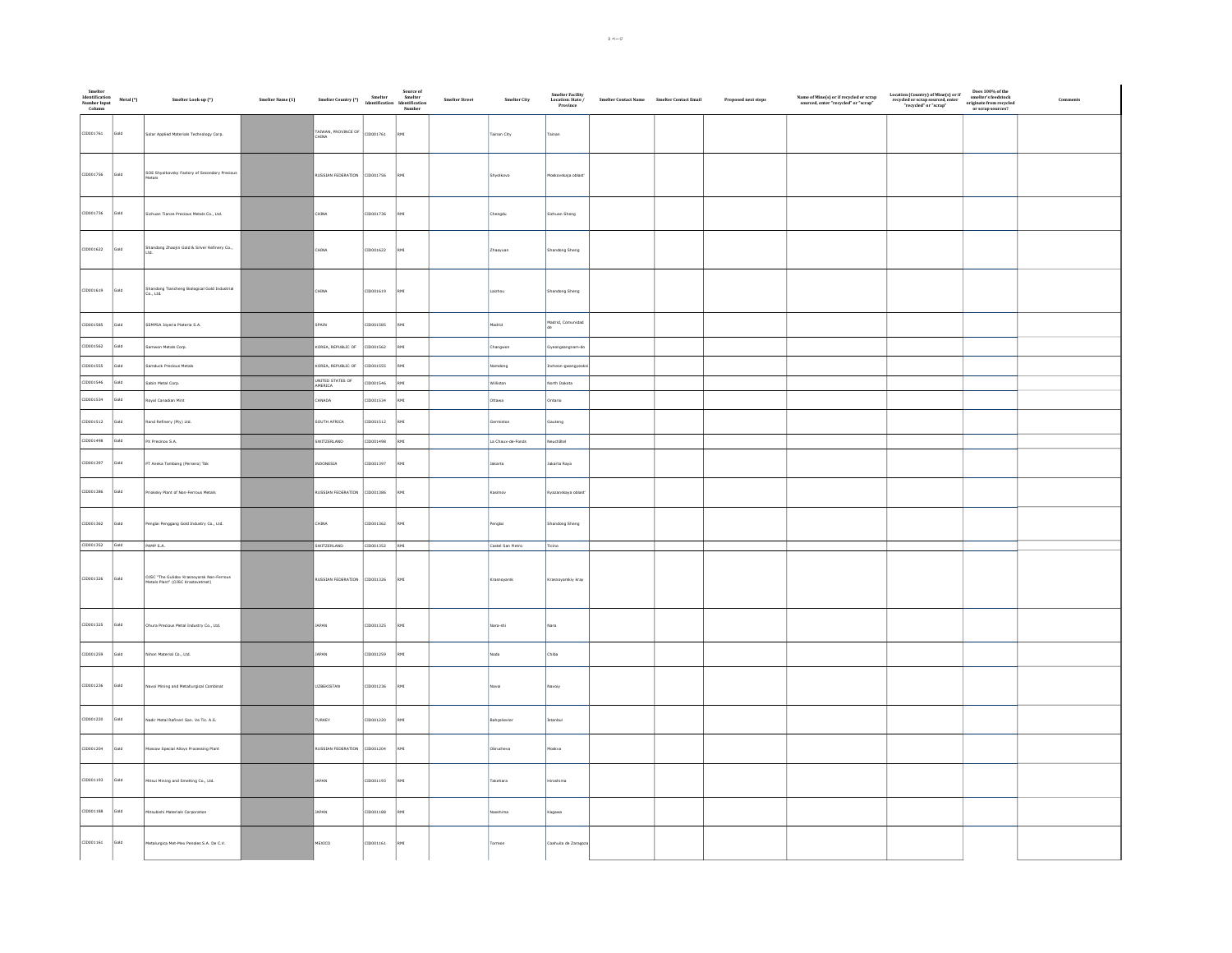| Smelter<br>Identification<br>Number Input<br>Column | Metal (*) | Smelter Look-up (*)                                                            | Smelter Name (1) | Source of<br>Smelter Country (*)<br>Smelter Mentification<br>Identification<br>Number |           |            | ${\sf Smelter\, Street}$ | Smelter City      | Smelter Facility<br>Location: State /<br>Province | $\label{eq:sm} \textbf{Smelter Contact Name} \qquad \textbf{Smelter Contact Email}$ | Proposed next steps | $\begin{array}{c} \textbf{Name of Mine(s) or if recycled or scrap} \\ \textbf{sourced, enter "recycled" or "scrap"} \end{array}$ | $\begin{tabular}{ll} Location (Country) of Mine(s) or if & Does 100\% of therespected or scrap source, enter & smeller's feedback''recycled or "scrap" & originate from recycleor scrap'' \end{tabular}$ | Comments |
|-----------------------------------------------------|-----------|--------------------------------------------------------------------------------|------------------|---------------------------------------------------------------------------------------|-----------|------------|--------------------------|-------------------|---------------------------------------------------|-------------------------------------------------------------------------------------|---------------------|----------------------------------------------------------------------------------------------------------------------------------|----------------------------------------------------------------------------------------------------------------------------------------------------------------------------------------------------------|----------|
| CID001761                                           | Gold      | Solar Applied Materials Technology Corp.                                       |                  | TAIWAN, PROVINCE OF CID001761                                                         |           | RMI        |                          | Tainan City       | Tainan                                            |                                                                                     |                     |                                                                                                                                  |                                                                                                                                                                                                          |          |
| CID001756                                           | Gold      | SOE Shyolkovsky Factory of Secondary Precious<br>Metals                        |                  | RUSSIAN FEDERATION CID001756                                                          |           | RMI        |                          | Shyolkovo         | foskovskaja oblast                                |                                                                                     |                     |                                                                                                                                  |                                                                                                                                                                                                          |          |
| CID001736                                           | Gold      | Sichuan Tianze Precious Metals Co., Ltd.                                       |                  | <b>CHINA</b>                                                                          | CID001736 | RMI        |                          | Chengdu           | Sichuan Sheng                                     |                                                                                     |                     |                                                                                                                                  |                                                                                                                                                                                                          |          |
| CID001622                                           | Gold      | Shandong Zhaojin Gold & Silver Refinery Co.,                                   |                  | CHINA                                                                                 | CID001622 | RMI        |                          | Zhaoyuan          | Shandong Sheng                                    |                                                                                     |                     |                                                                                                                                  |                                                                                                                                                                                                          |          |
| CID001619                                           | Gold      | Shandong Tiancheng Biological Gold Industrial<br>Co., Ltd.                     |                  | CHINA                                                                                 | CID001619 | RMI        |                          | Laizhou           | Shandong Sheng                                    |                                                                                     |                     |                                                                                                                                  |                                                                                                                                                                                                          |          |
| CID001585                                           | Gold      | SEMPSA Joyeria Plateria S.A.                                                   |                  | SPAIN                                                                                 | CID001585 | RMI        |                          | Madrid            | Madrid, Comunidad                                 |                                                                                     |                     |                                                                                                                                  |                                                                                                                                                                                                          |          |
| CID001562                                           | Gold      | Samwon Metals Corp.                                                            |                  | KOREA, REPUBLIC OF                                                                    | CID001562 | RMI        |                          | Changwon          | Gyeongsangnam-do                                  |                                                                                     |                     |                                                                                                                                  |                                                                                                                                                                                                          |          |
| CID001555                                           | Gold      | Samduck Precious Metals                                                        |                  | KOREA, REPUBLIC OF                                                                    | CID001555 | RMI        |                          | Namdong           | Incheon-gwangyeo                                  |                                                                                     |                     |                                                                                                                                  |                                                                                                                                                                                                          |          |
| CID001546                                           | Gold      | Sabin Metal Corp.                                                              |                  | UNITED STATES OF                                                                      | CID001546 | RMI        |                          | Williston         | North Dakota                                      |                                                                                     |                     |                                                                                                                                  |                                                                                                                                                                                                          |          |
| CID001534                                           | Gold      | Royal Canadian Mint                                                            |                  | CANADA                                                                                | CID001534 | RMI        |                          | Ottawa            | Ontario                                           |                                                                                     |                     |                                                                                                                                  |                                                                                                                                                                                                          |          |
| CID001512                                           | Gold      | Rand Refinery (Pty) Ltd.                                                       |                  | SOUTH AFRICA                                                                          | CID001512 | <b>IMP</b> |                          | Germiston         | Sauteng                                           |                                                                                     |                     |                                                                                                                                  |                                                                                                                                                                                                          |          |
| CID001498                                           | Gold      | PX Precinox S.A.                                                               |                  | SWITZERLAND                                                                           | CID001498 | RMI        |                          | La Chaux-de-Fonds | Neuchâtel                                         |                                                                                     |                     |                                                                                                                                  |                                                                                                                                                                                                          |          |
| CID001397                                           | Gold      | PT Aneka Tambang (Persero) Tbk                                                 |                  | INDONESIA                                                                             | CID001397 | RMI        |                          | Jakarta           | Jakarta Raya                                      |                                                                                     |                     |                                                                                                                                  |                                                                                                                                                                                                          |          |
| CID001386                                           | Gold      | rioksky Plant of Non-Ferrous Metals                                            |                  | RUSSIAN FEDERATION                                                                    | CID001386 | RMI        |                          | Kasimov           | .<br>Nyazanskaya oblast                           |                                                                                     |                     |                                                                                                                                  |                                                                                                                                                                                                          |          |
| CID001362                                           | Gold      | Penglai Penggang Gold Industry Co., Ltd.                                       |                  | CHINA                                                                                 | CID001362 | RMI        |                          | Penglai           | Shandong Sheng                                    |                                                                                     |                     |                                                                                                                                  |                                                                                                                                                                                                          |          |
| CID001352 Gold                                      |           | PAMP S.A.                                                                      |                  | SWITZERLAND                                                                           | CID001352 | RMI        |                          | Castel San Pietro | Tidino                                            |                                                                                     |                     |                                                                                                                                  |                                                                                                                                                                                                          |          |
| CID001326                                           | Gold      | OJSC "The Gulidov Krasnoyarsk Non-Ferrous<br>Metals Plant" (OJSC Krastsvetmet) |                  | RUSSIAN FEDERATION CID001326                                                          |           | RMI        |                          | Krasnoyarsk       | Krasnoyarskiy kray                                |                                                                                     |                     |                                                                                                                                  |                                                                                                                                                                                                          |          |
| CID001325                                           | Gold      | Ohura Precious Metal Industry Co., Ltd.                                        |                  | <b>JAPAN</b>                                                                          | CID001325 | RMI        |                          | Nara-shi          | Nara                                              |                                                                                     |                     |                                                                                                                                  |                                                                                                                                                                                                          |          |
| CID001259                                           | Gold      | Nihon Material Co., Ltd.                                                       |                  | <b>JAPAN</b>                                                                          | CID001259 | <b>IMP</b> |                          | Noda              | Chiba                                             |                                                                                     |                     |                                                                                                                                  |                                                                                                                                                                                                          |          |
| CID001236                                           | Gold      | <b>Navoi Mining and Metallurgical Combinat</b>                                 |                  | UZBEKISTAN                                                                            | CID001236 | RMI        |                          | Navoi             | Navoiy                                            |                                                                                     |                     |                                                                                                                                  |                                                                                                                                                                                                          |          |
| CID001220                                           | Gold      | Nadir Metal Rafineri San. Ve Tic. A.S.                                         |                  | TURKEY                                                                                | CID001220 | ĨМ         |                          | Bahçelievler      | stanbul                                           |                                                                                     |                     |                                                                                                                                  |                                                                                                                                                                                                          |          |
| CID001204                                           | Gold      | Moscow Special Alloys Processing Plant                                         |                  | RUSSIAN FEDERATION CID001204                                                          |           | RMI        |                          | Obrucheva         | foskva                                            |                                                                                     |                     |                                                                                                                                  |                                                                                                                                                                                                          |          |
| CID001193                                           | Gold      | Mitsui Mining and Smelting Co., Ltd.                                           |                  | <b>JAPAN</b>                                                                          | CID001193 | RMI        |                          | Takehara          | tiroshima                                         |                                                                                     |                     |                                                                                                                                  |                                                                                                                                                                                                          |          |
| CID001188                                           | Gold      | Mitsubishi Materials Corporation                                               |                  | <b>JAPAN</b>                                                                          | CID001188 | RMI        |                          | Naoshima          | Kagawa                                            |                                                                                     |                     |                                                                                                                                  |                                                                                                                                                                                                          |          |
| CID001161                                           | Gold      | Metalurgica Met-Mex Penoles S.A. De C.V.                                       |                  | MEXICO                                                                                | CID001161 | RMI        |                          | Torreon           | Coahuila de Zaragoz                               |                                                                                     |                     |                                                                                                                                  |                                                                                                                                                                                                          |          |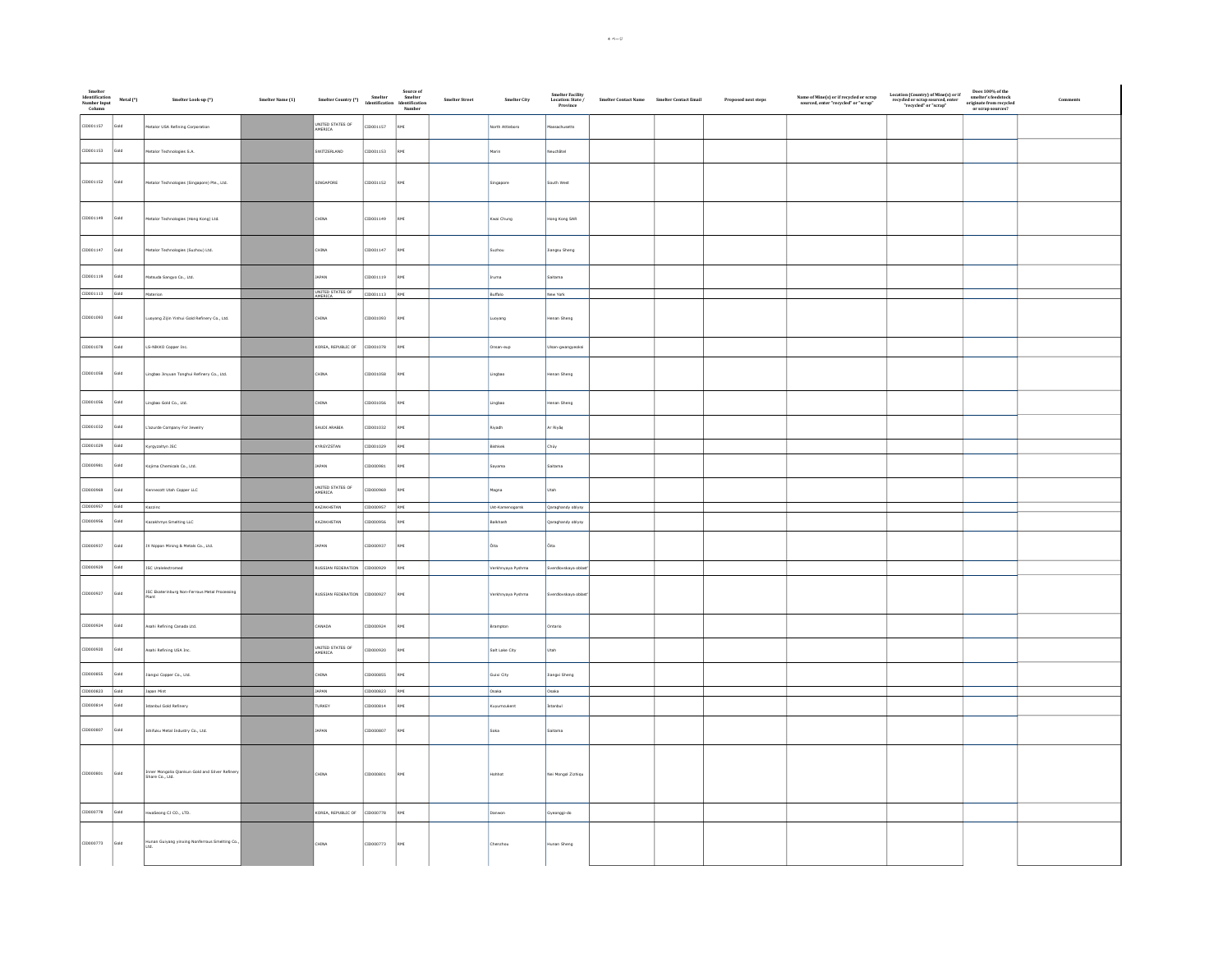| Smelter<br>Identification<br>Number Input<br>Column | Metal (*) | Smelter Look-up (*)                                                | Smelter Name (1) | Source of<br>Smelter Country (*)<br>Mentification Identification<br>Number<br>Number |               |     | Smelter Street | Smelter City      | Smelter Facility<br>Location: State /<br>Province | $\label{eq:1} \begin{aligned} \textit{Smelter Contact Name} \qquad \textit{Smelter Contact Email} \end{aligned}$ | Proposed next steps | $\label{eq:name} \begin{array}{ll} \textbf{Name of Mine(s) or if recycled or scrap} \\ \textbf{sourced, enter "recycled" or "scrap"} \end{array}$ | $\begin{array}{c} \text{Location (Country) of Mine(s) or if} \\ \text{recycled or scrap sourced, enter} \\ \text{"recycled" or "scrap"} \end{array}$ | Does $100\%$ of the smelter's feedstock originate from recycled or scrap sources? | Comment |
|-----------------------------------------------------|-----------|--------------------------------------------------------------------|------------------|--------------------------------------------------------------------------------------|---------------|-----|----------------|-------------------|---------------------------------------------------|------------------------------------------------------------------------------------------------------------------|---------------------|---------------------------------------------------------------------------------------------------------------------------------------------------|------------------------------------------------------------------------------------------------------------------------------------------------------|-----------------------------------------------------------------------------------|---------|
| CID001157                                           | bloz      | <b>Metalor USA Refining Corporation</b>                            |                  | UNITED STATES OF<br>AMERICA                                                          | ID001157      | RMI |                | North Attleboro   | lassachusetts                                     |                                                                                                                  |                     |                                                                                                                                                   |                                                                                                                                                      |                                                                                   |         |
| CID001153                                           | Gold      | Metalor Technologies S.A.                                          |                  | SWITZERLAND                                                                          | ID001153      | RMI |                | darin             | leuchâtel                                         |                                                                                                                  |                     |                                                                                                                                                   |                                                                                                                                                      |                                                                                   |         |
| CID001152                                           | Gold      | Metalor Technologies (Singapore) Pte., Ltd.                        |                  | SINGAPORE                                                                            | CID001152     | RMI |                | Singapore         | South West                                        |                                                                                                                  |                     |                                                                                                                                                   |                                                                                                                                                      |                                                                                   |         |
| CID001149                                           | Gold      | Metalor Technologies (Hong Kong) Ltd.                              |                  | CHINA                                                                                | CID001149     | RMI |                | Kwai Chung        | Hong Kong SAR                                     |                                                                                                                  |                     |                                                                                                                                                   |                                                                                                                                                      |                                                                                   |         |
| CID001147                                           | Gold      | Metalor Technologies (Suzhou) Ltd.                                 |                  | CHINA                                                                                | CID001147     | RMI |                | .<br>Suzhou       | Jiangsu Sheng                                     |                                                                                                                  |                     |                                                                                                                                                   |                                                                                                                                                      |                                                                                   |         |
| CID001119                                           | Gold      | latsuda Sangyo Co., Ltd.                                           |                  | JAPAN                                                                                | 10001119      | RMI |                | Iruma             | Saitama                                           |                                                                                                                  |                     |                                                                                                                                                   |                                                                                                                                                      |                                                                                   |         |
| CID001113 Gold                                      |           | Materion                                                           |                  | UNITED STATES OF<br><b><i>AFRICA</i></b>                                             | CID001113 RMI |     |                | Buffalo           | New York                                          |                                                                                                                  |                     |                                                                                                                                                   |                                                                                                                                                      |                                                                                   |         |
| CID001093 Gold                                      |           | Luoyang Zijin Yinhui Gold Refinery Co., Ltd.                       |                  | CHINA                                                                                | CID001093     | RMI |                | uoyang            | Henan Sheng                                       |                                                                                                                  |                     |                                                                                                                                                   |                                                                                                                                                      |                                                                                   |         |
| CID001078                                           | Gold      | LS-NIKKO Copper Inc.                                               |                  | KOREA, REPUBLIC OF                                                                   | CID001078     | RMI |                | msan-eup          | Ulsan-gwangyeoks                                  |                                                                                                                  |                     |                                                                                                                                                   |                                                                                                                                                      |                                                                                   |         |
| CID001058                                           | Gold      | Lingbao Jinyuan Tonghui Refinery Co., Ltd.                         |                  | CHINA                                                                                | CID001058     | RMI |                | Lingbao           | Henan Sheng                                       |                                                                                                                  |                     |                                                                                                                                                   |                                                                                                                                                      |                                                                                   |         |
| CID001056                                           | Gold      | Lingbao Gold Co., Ltd.                                             |                  | CHINA                                                                                | ID001056      | RMI |                | ingbao            | Henan Sheng                                       |                                                                                                                  |                     |                                                                                                                                                   |                                                                                                                                                      |                                                                                   |         |
| CID001032                                           | Gold      | L'azurde Company For Jewelry                                       |                  | SAUDI ARABIA                                                                         | CID001032     | RMI |                | Riyadh            | Ar Riyād                                          |                                                                                                                  |                     |                                                                                                                                                   |                                                                                                                                                      |                                                                                   |         |
| CID001029                                           | Gold      | Kyrgyzaltyn JSC                                                    |                  | KYRGYZSTAN                                                                           | CID001029     | RMI |                | Bishkek           | Chüy                                              |                                                                                                                  |                     |                                                                                                                                                   |                                                                                                                                                      |                                                                                   |         |
| CID000981                                           | Gold      | <b>Colima Chemicals Co., Ltd.</b>                                  |                  | <b>JAPAN</b>                                                                         | 10000981      | RMI |                | Sayama            | Saitama                                           |                                                                                                                  |                     |                                                                                                                                                   |                                                                                                                                                      |                                                                                   |         |
| CID000969                                           | Gold      | nnecott Utah Copper LLC                                            |                  | UNITED STATES OF<br>AMERICA                                                          | eaeooog1:     | RMI |                | Magna             | Utah                                              |                                                                                                                  |                     |                                                                                                                                                   |                                                                                                                                                      |                                                                                   |         |
| CID000957                                           | Gold      | Kazzinc                                                            |                  | KAZAKHSTAN                                                                           | 12000001      | RMI |                | Ust-Kamenogorsk   | Qaraghandy oblysy                                 |                                                                                                                  |                     |                                                                                                                                                   |                                                                                                                                                      |                                                                                   |         |
| CID000956                                           | Gold      | Kazakhmys Smelting LLC                                             |                  | KAZAKHSTAN                                                                           | ID000956      | RMI |                | alkhash           | Qaraghandy oblysy                                 |                                                                                                                  |                     |                                                                                                                                                   |                                                                                                                                                      |                                                                                   |         |
| CID000937                                           | Gold      | JX Nippon Mining & Metals Co., Ltd.                                |                  | JAPAN                                                                                | 10000937      | RMI |                | Öita              | Ôita                                              |                                                                                                                  |                     |                                                                                                                                                   |                                                                                                                                                      |                                                                                   |         |
| CID000929                                           | Gold      | <b>ISC Uralelectromed</b>                                          |                  | <b>RUSSIAN FEDERATION</b>                                                            | CID000929     | RMI |                | Verkhnyaya Pyshma | Sverdlovskaya oblas                               |                                                                                                                  |                     |                                                                                                                                                   |                                                                                                                                                      |                                                                                   |         |
| CID000927                                           | Gold      | <b>ISC Ekaterinburg Non-Ferrous Metal Processing</b><br>Plant      |                  | RUSSIAN FEDERATION                                                                   | CID000927     | RMI |                | Verkhnyaya Pyshma | Sverdlovskaya oblas                               |                                                                                                                  |                     |                                                                                                                                                   |                                                                                                                                                      |                                                                                   |         |
| CID000924                                           | Gold      | Asahi Refining Canada Ltd.                                         |                  | CANADA                                                                               | ID000924      | RMI |                | <b>Brampton</b>   | Ontario                                           |                                                                                                                  |                     |                                                                                                                                                   |                                                                                                                                                      |                                                                                   |         |
| CID000920                                           | Gold      | Asahi Refining USA Inc.                                            |                  | UNITED STATES OF<br>AMERICA                                                          | 05000001      | RMI |                | Salt Lake City    | Utah                                              |                                                                                                                  |                     |                                                                                                                                                   |                                                                                                                                                      |                                                                                   |         |
| CID000855                                           | bloz      | liangxi Copper Co., Ltd.                                           |                  | CHINA                                                                                | ID000855      | RMI |                | <b>Suixi City</b> | .<br>Jiangxi Sheng                                |                                                                                                                  |                     |                                                                                                                                                   |                                                                                                                                                      |                                                                                   |         |
| CID000823 Gold                                      |           | Japan Mint                                                         |                  | <b>JAPAN</b>                                                                         | CID000823 RMI |     |                | Osaka             | Osaka                                             |                                                                                                                  |                     |                                                                                                                                                   |                                                                                                                                                      |                                                                                   |         |
| CID000814                                           | Gold      | Istanbul Gold Refinery                                             |                  | TURKEY                                                                               | ID000814      | RMI |                | Kuyumcukent       | Istanbul                                          |                                                                                                                  |                     |                                                                                                                                                   |                                                                                                                                                      |                                                                                   |         |
| CID000807                                           | Gold      | Ishifuku Metal Industry Co., Ltd.                                  |                  | JAPAN                                                                                | ID000807      | RMI |                | Soka              | <b>Saitama</b>                                    |                                                                                                                  |                     |                                                                                                                                                   |                                                                                                                                                      |                                                                                   |         |
| CID000801                                           | Gold      | Inner Mongolia Qiankun Gold and Silver Refinery<br>Share Co., Ltd. |                  | CHINA                                                                                | CID000801     | RMI |                | Hohhot            | Nei Mongol Zizhiqu                                |                                                                                                                  |                     |                                                                                                                                                   |                                                                                                                                                      |                                                                                   |         |
| CID000778                                           | Gold      | waSeong CJ CO., LTD.                                               |                  | KOREA, REPUBLIC OF                                                                   | CID000778     | RMI |                | Janwon            | Gyeonggi-do                                       |                                                                                                                  |                     |                                                                                                                                                   |                                                                                                                                                      |                                                                                   |         |
| CID000773 Gold                                      |           | -<br>Hunan Guiyang yinxing Nonferrous Smelting Co.,                |                  | CHINA                                                                                | CID000773     | RMI |                | Chenzhou          | Hunan Sheng                                       |                                                                                                                  |                     |                                                                                                                                                   |                                                                                                                                                      |                                                                                   |         |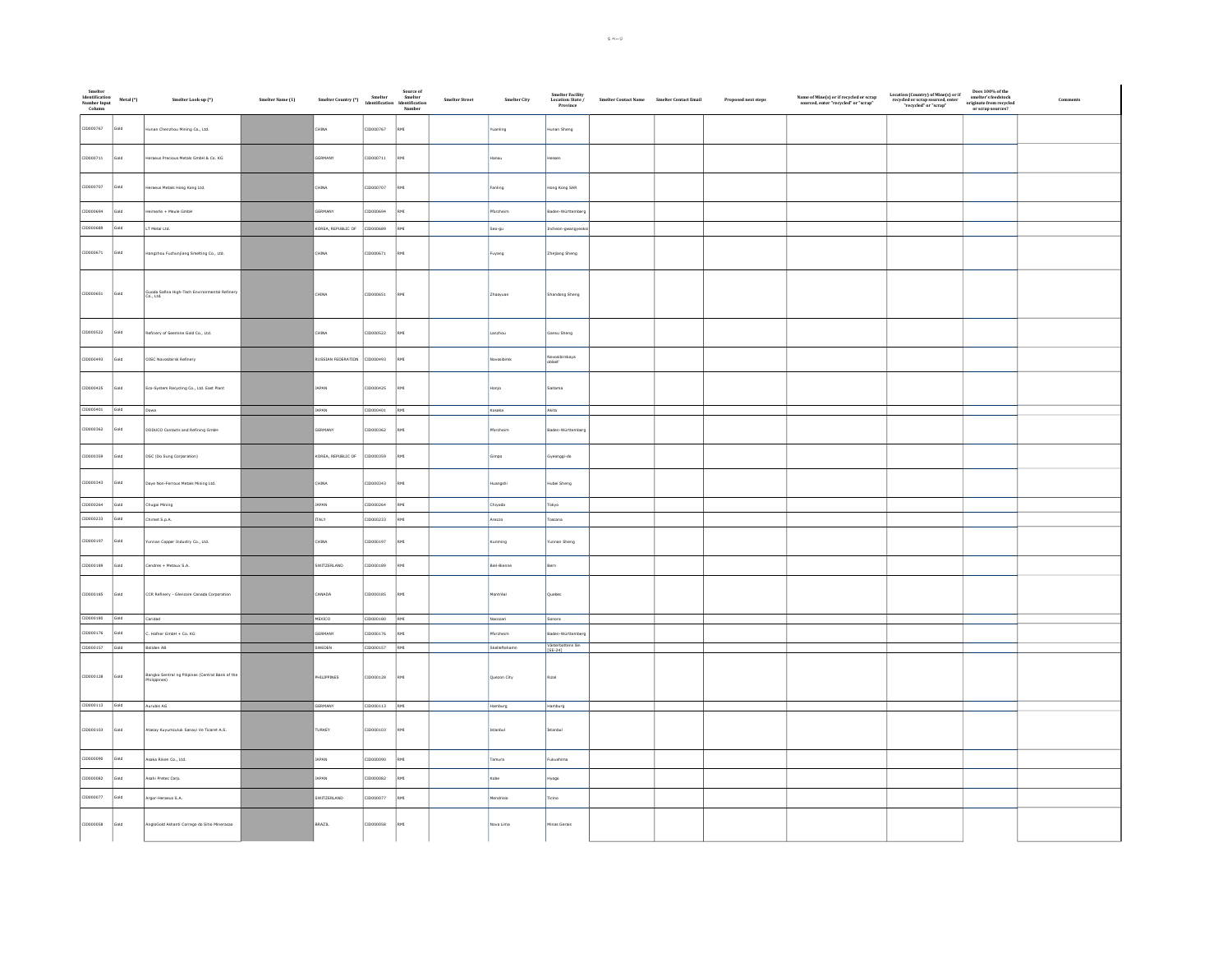| Smelter<br>Identification<br>Number Input<br>Column | Metal (*)   | Smelter Look-up (*)                                              | Smelter Name (1) | Source of<br>Smelter Country (*)<br>Smelter – Smelter<br>Identification Identification<br>Number |               |              | Smelter Street<br>Smelter City | Smelter Facility<br>Location: State /<br>Province | Smelter Contact Name Smelter Contact Email | Proposed next steps | $\begin{array}{c} \textbf{Name of Mine(s) or if recycled or scrap}\\ \textbf{sourced, enter "recycled" or "scrap"} \end{array}$ | $\begin{tabular}{ll} Location (Country) of Mine(s) or if & Does 100\% of therecycled or scrap source, enter & sameter's needed'' or "scrap" ∨ spring matter from recycle \\ &\hspace{2.5cm} "recycled" or "scrap" &\\ \end{tabular}$ | Comment |
|-----------------------------------------------------|-------------|------------------------------------------------------------------|------------------|--------------------------------------------------------------------------------------------------|---------------|--------------|--------------------------------|---------------------------------------------------|--------------------------------------------|---------------------|---------------------------------------------------------------------------------------------------------------------------------|--------------------------------------------------------------------------------------------------------------------------------------------------------------------------------------------------------------------------------------|---------|
| CID000767                                           | bloi        | Hunan Chenzhou Mining Co., Ltd.                                  |                  | CHINA                                                                                            | 10000767      | RMI          | uanling                        | Hunan Sheng                                       |                                            |                     |                                                                                                                                 |                                                                                                                                                                                                                                      |         |
| CID000711                                           | Gold        | Heraeus Precious Metals GmbH & Co. KG                            |                  | SERMANY                                                                                          | CID000711     | RMI          | Hanau                          | ssen                                              |                                            |                     |                                                                                                                                 |                                                                                                                                                                                                                                      |         |
| CID000707                                           | <b>Gold</b> | Heraeus Metals Hong Kong Ltd.                                    |                  | CHINA                                                                                            | CID000707     | RMI          | Fanling                        | Hong Kong SAR                                     |                                            |                     |                                                                                                                                 |                                                                                                                                                                                                                                      |         |
| CID000694                                           | Gold        | Heimerle + Meule GmbH                                            |                  | SERMANY                                                                                          | CID000694     | RMI          | Pforzheim                      | Baden-Württemberg                                 |                                            |                     |                                                                                                                                 |                                                                                                                                                                                                                                      |         |
| CID000689                                           | Gold        | LT Metal Ltd.                                                    |                  | KOREA, REPUBLIC OF                                                                               | CID000689     | RMI          | Seo-gu                         | Incheon-gwangyeoisi                               |                                            |                     |                                                                                                                                 |                                                                                                                                                                                                                                      |         |
| CID000671                                           | Gold        | Hangzhou Fuchunjiang Smelting Co., Ltd.                          |                  | CHINA                                                                                            | CID000671     | RMI          | Fuyang                         | Zhejiang Sheng                                    |                                            |                     |                                                                                                                                 |                                                                                                                                                                                                                                      |         |
| CID000651                                           | Gold        | Guoda Safina High-Tech Environmental Refinery<br>Co., Ltd.       |                  | CHINA                                                                                            | CID000651     | RMI          | Zhaoyuan                       | Shandong Sheng                                    |                                            |                     |                                                                                                                                 |                                                                                                                                                                                                                                      |         |
| CID000522                                           | Gold        | Refinery of Seemine Gold Co., Ltd.                               |                  | CHINA                                                                                            | CID000522     | RMI          | Lanzhou                        | Gansu Sheng                                       |                                            |                     |                                                                                                                                 |                                                                                                                                                                                                                                      |         |
| CID000493                                           | bloi        | OJSC Novosibirsk Refinery                                        |                  | RUSSIAN FEDERATION                                                                               | CID000493     | $_{\rm RMI}$ | vosibirsk                      | Novosibirskaya<br>oblast'                         |                                            |                     |                                                                                                                                 |                                                                                                                                                                                                                                      |         |
| CID000425                                           | Gold        | Eco-System Recycling Co., Ltd. East Plant                        |                  | JAPAN                                                                                            | CID000425     | RMI          | Honjo                          | Saitama                                           |                                            |                     |                                                                                                                                 |                                                                                                                                                                                                                                      |         |
| CID000401 Gold                                      |             | Dowa                                                             |                  | <b>JAPAN</b>                                                                                     | CID000401     | RMI          | Kosaka                         | Akita                                             |                                            |                     |                                                                                                                                 |                                                                                                                                                                                                                                      |         |
| CID000362                                           | <b>Gold</b> | DODUCO Contacts and Refining GmbH                                |                  | SERMANY                                                                                          | CID000362     | RMI          | <b>Yorzhein</b>                | Baden-Württemb                                    |                                            |                     |                                                                                                                                 |                                                                                                                                                                                                                                      |         |
| CID000359                                           | Gold        | DSC (Do Sung Corporation)                                        |                  | KOREA, REPUBLIC OF                                                                               | 10000359      | RMI          | Gimpo                          | Gyeonggi-do                                       |                                            |                     |                                                                                                                                 |                                                                                                                                                                                                                                      |         |
| CID000343                                           | Gold        | Daye Non-Ferrous Metals Mining Ltd.                              |                  | CHINA                                                                                            | CID000343     | RMI          | Huangshi                       | Hubei Sheng                                       |                                            |                     |                                                                                                                                 |                                                                                                                                                                                                                                      |         |
| CID000264                                           | Gold        | Chugai Mining                                                    |                  | <b>APAN</b>                                                                                      | CID000264     | $_{\rm RM}$  | Chiyoda                        | Tokyo                                             |                                            |                     |                                                                                                                                 |                                                                                                                                                                                                                                      |         |
| CID000233                                           | Gold        | Chimet S.p.A.                                                    |                  | <b>ITALY</b>                                                                                     | CID000233     | RMI          | Arezzo                         | Toscana                                           |                                            |                     |                                                                                                                                 |                                                                                                                                                                                                                                      |         |
| CID000197                                           | Gold        | Yunnan Copper Industry Co., Ltd.                                 |                  | CHINA                                                                                            | CID000197     | RMI          | Kunming                        | Yunnan Sheng                                      |                                            |                     |                                                                                                                                 |                                                                                                                                                                                                                                      |         |
| CID000189                                           | Gold        | Cendres + Metaux S.A.                                            |                  | SWITZERLAND                                                                                      | CID000189     | RMI          | Biel-Bienne                    | Bern                                              |                                            |                     |                                                                                                                                 |                                                                                                                                                                                                                                      |         |
| CID000185                                           | Gold        | CCR Refinery - Glencore Canada Corporation                       |                  | CANADA                                                                                           | CID000185     | RMI          | Montréal                       | Quebec                                            |                                            |                     |                                                                                                                                 |                                                                                                                                                                                                                                      |         |
| CID000180 Gold                                      |             | Caridad                                                          |                  | MEXICO                                                                                           | CID000180 RMI |              | Nacozari                       | Sonora                                            |                                            |                     |                                                                                                                                 |                                                                                                                                                                                                                                      |         |
| CID000176                                           | Gold        | C. Hafner GmbH + Co. KG                                          |                  | SERMANY                                                                                          | CID000176     | RMI          | Pforzheim                      | Baden-Württemberg                                 |                                            |                     |                                                                                                                                 |                                                                                                                                                                                                                                      |         |
| CID000157 Gold                                      |             | Boliden AB                                                       |                  | SWEDEN                                                                                           | CID000157     | RMI          | Skelleftehamn                  | Västerbottens län<br>ISE-241                      |                                            |                     |                                                                                                                                 |                                                                                                                                                                                                                                      |         |
| CID000128                                           | Gold        | Bangko Sentral ng Pilipinas (Central Bank of the<br>Philippines) |                  | PHILIPPINES                                                                                      | CID000128     | RMI          | Quezon City                    | Rizal                                             |                                            |                     |                                                                                                                                 |                                                                                                                                                                                                                                      |         |
| CID000113 Gold                                      |             | Aurubis AG                                                       |                  | GERMANY                                                                                          | CID000113 RMI |              | Hamburg                        | Hamburg                                           |                                            |                     |                                                                                                                                 |                                                                                                                                                                                                                                      |         |
| CID000103                                           | Gold        | Atasay Kuyumculuk Sanayi Ve Ticaret A.S.                         |                  | TURKEY                                                                                           | CID000103     | RMI          | Istanbul                       | İstanbul                                          |                                            |                     |                                                                                                                                 |                                                                                                                                                                                                                                      |         |
| CID000090                                           | Gold        | Asaka Riken Co., Ltd.                                            |                  | APAN                                                                                             | CID000090     | RMI          | Tamura                         | Fukushima                                         |                                            |                     |                                                                                                                                 |                                                                                                                                                                                                                                      |         |
| CID000082                                           | iold        | Asahi Pretec Corp.                                               |                  | APAN                                                                                             | ID000082      | RMI          | Kobe                           | opoyH                                             |                                            |                     |                                                                                                                                 |                                                                                                                                                                                                                                      |         |
| CID000077                                           | Gold        | Argor-Heraeus S.A.                                               |                  | WITZERLAND                                                                                       | ID000077      | RMI          | Mendrisio                      | Ticino                                            |                                            |                     |                                                                                                                                 |                                                                                                                                                                                                                                      |         |
| CID000058                                           | Gold        | AngloGold Ashanti Corrego do Sitio Mineracao                     |                  | BRAZIL                                                                                           | CID000058     | RMI          | Nova Lima                      | Minas Gerais                                      |                                            |                     |                                                                                                                                 |                                                                                                                                                                                                                                      |         |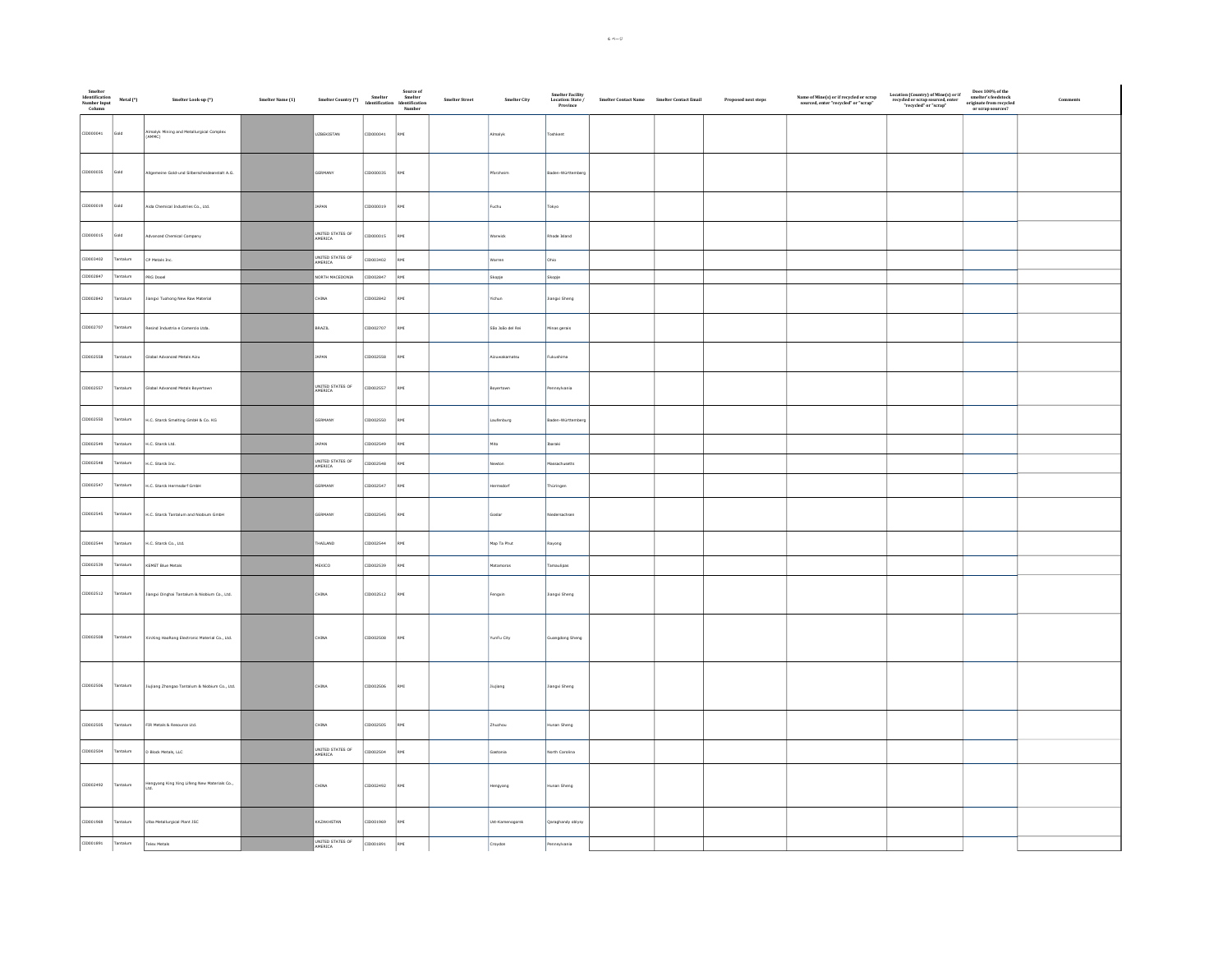| Smelter<br>Identification<br>Number Input<br>Column | Metal (*) | Smelter Look-up (*)                                       | Source of<br>Smelter Name (1) Smelter Country (*) Smelter Smelter Hamiltonia<br>Identification Identification Number (*) |                             |           |     | ${\bf Smelter\, Street}$ | Smelter City     | Smelter Facility<br>Location: State /<br>Province | Smelter Contact Name Smelter Contact Email | Proposed next steps | $\begin{array}{c} \textbf{Name of Mine(s) or if} \\ \textbf{sourced, enter "recycled" or "scrap"} \end{array}$ | $\begin{tabular}{ll} Location (Country) of Mine(s) or if & Does 100\% of therecycled or scrap source, enter"recycled" or "scrap" ∨ general ∨ scrap sources? \end{tabular}$ |  |
|-----------------------------------------------------|-----------|-----------------------------------------------------------|--------------------------------------------------------------------------------------------------------------------------|-----------------------------|-----------|-----|--------------------------|------------------|---------------------------------------------------|--------------------------------------------|---------------------|----------------------------------------------------------------------------------------------------------------|----------------------------------------------------------------------------------------------------------------------------------------------------------------------------|--|
| CID000041                                           | Gold      | Almalyk Mining and Metallurgical Complex<br>(AMMC)        |                                                                                                                          | <b>UZBEKISTAN</b>           | CID000041 | RMI |                          | Almalyk          | Toshkent                                          |                                            |                     |                                                                                                                |                                                                                                                                                                            |  |
| CID000035                                           | Gold      | Allgemeine Gold-und Silberscheideanstalt A.G.             |                                                                                                                          | GERMANY                     | CID000035 | RMI |                          | Pforzheim        | Baden-Württemberg                                 |                                            |                     |                                                                                                                |                                                                                                                                                                            |  |
| CID000019                                           | Gold      | Aida Chemical Industries Co., Ltd.                        |                                                                                                                          | JAPAN                       | CID000019 | RMI |                          | Fuchu            | Tokyo                                             |                                            |                     |                                                                                                                |                                                                                                                                                                            |  |
| CID000015                                           | Gold      | Advanced Chemical Company                                 |                                                                                                                          | UNITED STATES OF            | CID000015 | RMI |                          | Warwick          | Rhode Island                                      |                                            |                     |                                                                                                                |                                                                                                                                                                            |  |
| CID003402                                           | Tantalum  | CP Metals Inc.                                            |                                                                                                                          | UNITED STATES OF            | CID003402 | RMI |                          | Warren           | Ohio                                              |                                            |                     |                                                                                                                |                                                                                                                                                                            |  |
| CID002847                                           | antalum   | PRG Dooel                                                 |                                                                                                                          | NORTH MACEDONIA             | CID002847 | RMI |                          | Skopje           | Skopje                                            |                                            |                     |                                                                                                                |                                                                                                                                                                            |  |
| CID002842                                           | Tantalum  | Jiangxi Tuohong New Raw Material                          |                                                                                                                          | CHINA                       | CID002842 | RMI |                          | Yichun           | Jiangxi Sheng                                     |                                            |                     |                                                                                                                |                                                                                                                                                                            |  |
| CID002707                                           | Tantalum  | Resind Industria e Comercio Ltda.                         |                                                                                                                          | BRAZIL                      | CID002707 | RMI |                          | São João del Rei | Minas gerais                                      |                                            |                     |                                                                                                                |                                                                                                                                                                            |  |
| CID002558                                           | Tantalum  | Global Advanced Metals Aizu                               |                                                                                                                          | JAPAN                       | CID002558 | RMI |                          | Aizuwakamatsu    | Fukushima                                         |                                            |                     |                                                                                                                |                                                                                                                                                                            |  |
| CID002557                                           | Tantalum  | Global Advanced Metals Bovertown                          |                                                                                                                          | UNITED STATES OF<br>AMERICA | CID002557 | RMI |                          | Boyertown        | Pennsylvania                                      |                                            |                     |                                                                                                                |                                                                                                                                                                            |  |
| CID002550                                           | Tantalum  | H.C. Starck Smelting GmbH & Co. KG                        |                                                                                                                          | GERMANY                     | CID002550 | RMI |                          | Laufenburg       | Baden-Württemberg                                 |                                            |                     |                                                                                                                |                                                                                                                                                                            |  |
| CID002549                                           | antalum   | H.C. Starck Ltd.                                          |                                                                                                                          | JAPAN                       | ID002549  | RMI |                          | Mito             | Ibaraki                                           |                                            |                     |                                                                                                                |                                                                                                                                                                            |  |
| CID002548                                           | antalum   | H.C. Starck Inc.                                          |                                                                                                                          | UNITED STATES OF<br>AMERICA | ID002548  | RMI |                          | <b>lewton</b>    | fassachusetts                                     |                                            |                     |                                                                                                                |                                                                                                                                                                            |  |
| CID002547                                           | intalum   | H.C. Starck Hermsdorf GmbH                                |                                                                                                                          | GERMANY                     | CID002547 | RMI |                          | msdorf           | Thüringen                                         |                                            |                     |                                                                                                                |                                                                                                                                                                            |  |
| CID002545                                           | Tantalum  | H.C. Starck Tantalum and Niobium GmbH                     |                                                                                                                          | GERMANY                     | CID002545 | RMI |                          | Goslar           | Niedersachsen                                     |                                            |                     |                                                                                                                |                                                                                                                                                                            |  |
| CID002544                                           | Tantalum  | H.C. Starck Co., Ltd.                                     |                                                                                                                          | HAILAND                     | CID002544 | RMI |                          | Map Ta Phut      | Rayong                                            |                                            |                     |                                                                                                                |                                                                                                                                                                            |  |
| CID002539                                           | intalum   | KEMET Blue Metals                                         |                                                                                                                          | MEXICO                      | CID002539 | RMI |                          | Matamoros        | Tamaulipas                                        |                                            |                     |                                                                                                                |                                                                                                                                                                            |  |
| CID002512                                           | Tantalum  | Jiangxi Dinghai Tantalum & Niobium Co., Ltd.              |                                                                                                                          | CHINA                       | CID002512 | RMI |                          | Fengxin          | Jiangxi Sheng                                     |                                            |                     |                                                                                                                |                                                                                                                                                                            |  |
| CID002508                                           | Tantalum  | XinXing HaoRong Electronic Material Co., Ltd.             |                                                                                                                          | CHINA                       | CID002508 | RMI |                          | YunFu City       | Guangdong Sheng                                   |                                            |                     |                                                                                                                |                                                                                                                                                                            |  |
| CID002506                                           | Tantalum  | Jiujiang Zhongao Tantalum & Niobium Co., Ltd.             |                                                                                                                          | CHINA                       | CID002506 | RMI |                          | Jiujiang         | <b>Jiangxi Sheng</b>                              |                                            |                     |                                                                                                                |                                                                                                                                                                            |  |
| CID002505                                           | Tantalum  | FIR Metals & Resource Ltd.                                |                                                                                                                          | CHINA                       | CID002505 | RMI |                          | Zhuzhou          | Hunan Sheng                                       |                                            |                     |                                                                                                                |                                                                                                                                                                            |  |
| CID002504                                           | antalum   | D Block Metals, LLC                                       |                                                                                                                          | UNITED STATES OF<br>AMERICA | D002504   | RMI |                          | Sastonia         | lorth Carolina                                    |                                            |                     |                                                                                                                |                                                                                                                                                                            |  |
| CID002492                                           | Tantalum  | -<br>Hengyang King Xing Lifeng New Materials Co.,<br>Ltd. |                                                                                                                          | CHINA                       | CID002492 | RMI |                          | Hengyang         | Hunan Sheng                                       |                                            |                     |                                                                                                                |                                                                                                                                                                            |  |
| CID001969                                           | antalum   | Ulba Metallurgical Plant JSC                              |                                                                                                                          | KAZAKHSTAN                  | CID001969 | RMI |                          | Ust-Kamenogorsk  | Qaraghandy oblysy                                 |                                            |                     |                                                                                                                |                                                                                                                                                                            |  |
| CID001891                                           | Tantalum  | <b>Telex Metals</b>                                       |                                                                                                                          | UNITED STATES OF            | CID001891 | RMI |                          | Croydon          | Pennsylvania                                      |                                            |                     |                                                                                                                |                                                                                                                                                                            |  |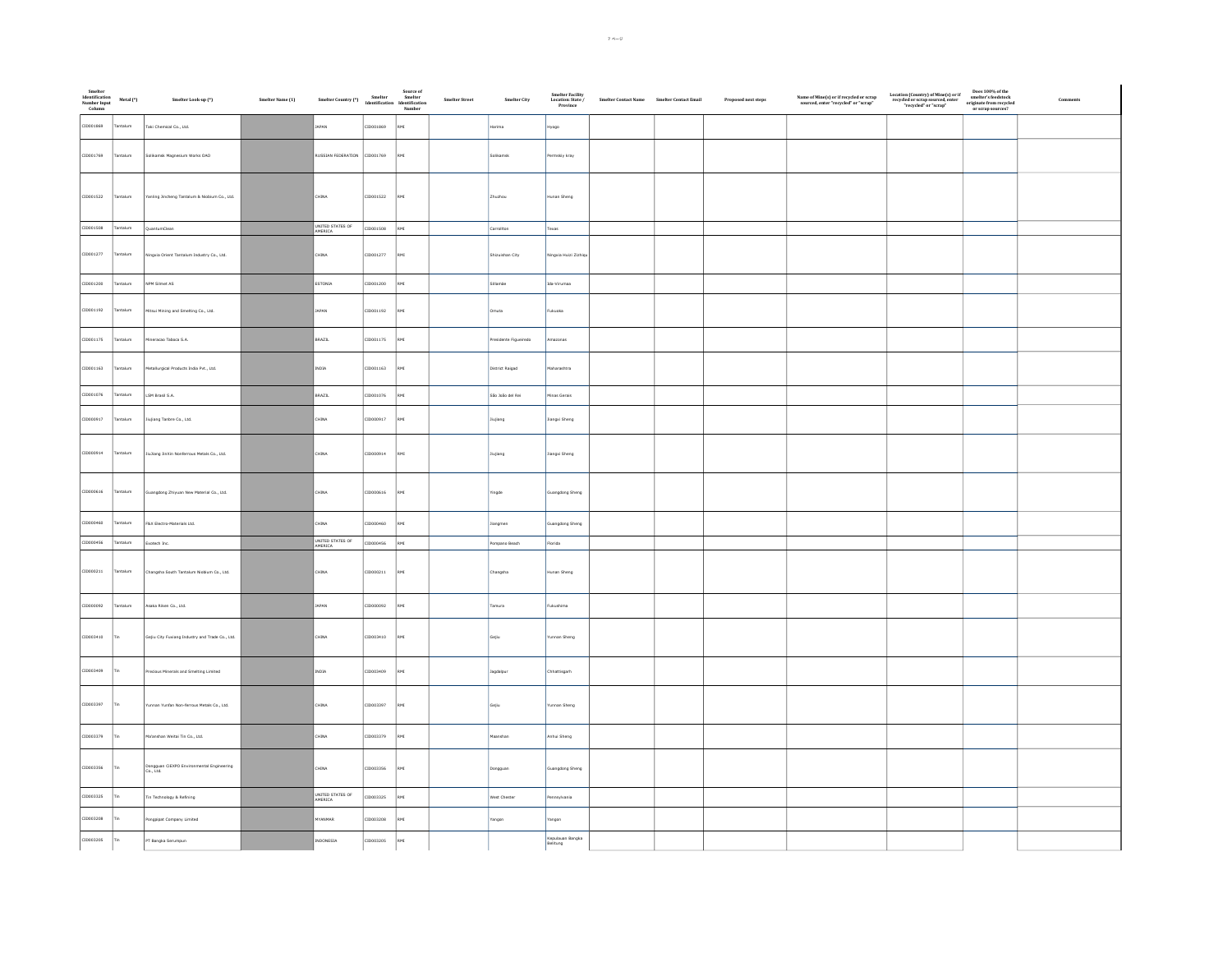| Smelter<br>Identification<br>Number Input<br>Column | Metal (*)  | Smelter Look-up (*)                                   | Smelter Name (1) | Source of<br>Smelter Country (*)<br>Smelter Memelification<br>Mumber<br>Number |           |            | ${\sf Smelter\, Street}$<br>Smelter City | Smelter Facility<br>Location: State /<br>Province | $\label{eq:1} \textbf{Smelter Contact Name} \qquad \textbf{Smelter Contact Email}$ | Proposed next steps | $\begin{array}{c} \textbf{Name of Mine(s) or if recycled or scrap}\\ \textbf{source, enter "recycled" or "scrap"} \end{array}$ | $\begin{tabular}{ll} Location (Country) of Mine(s) or if & Does 100\% of therespected or scrap sourced, enterred, enterweighted or scrap's currentor right of thecorrelated or "script" or or right source? \end{tabular}$ | Comment |
|-----------------------------------------------------|------------|-------------------------------------------------------|------------------|--------------------------------------------------------------------------------|-----------|------------|------------------------------------------|---------------------------------------------------|------------------------------------------------------------------------------------|---------------------|--------------------------------------------------------------------------------------------------------------------------------|----------------------------------------------------------------------------------------------------------------------------------------------------------------------------------------------------------------------------|---------|
| CID001869                                           | antalum    | Taki Chemical Co., Ltd.                               |                  | <b>JAPAN</b>                                                                   | CID001869 | RMI        | rima                                     |                                                   |                                                                                    |                     |                                                                                                                                |                                                                                                                                                                                                                            |         |
| CID001769                                           | antalum    | Solikamsk Magnesium Works OAD                         |                  | RUSSIAN FEDERATION                                                             | CID001769 | RMI        | Solikamsk                                | Permskiy kray                                     |                                                                                    |                     |                                                                                                                                |                                                                                                                                                                                                                            |         |
| CID001522                                           | fantalum   | ranling Jincheng Tantalum & Niobium Co., Ltd.         |                  | :HINA                                                                          | CID001522 | RMI        | Zhuzhou                                  | Hunan Sheng                                       |                                                                                    |                     |                                                                                                                                |                                                                                                                                                                                                                            |         |
| CID001508                                           | Tantalum   | QuantumClean                                          |                  | UNITED STATES OF                                                               | CID001508 | RMI        | Carrollton                               | Texas                                             |                                                                                    |                     |                                                                                                                                |                                                                                                                                                                                                                            |         |
| CID001277                                           | Tantalum   | Ningxia Orient Tantalum Industry Co., Ltd.            |                  | CHINA                                                                          | CID001277 | RMI        | Shizuishan City                          | Ningxia Huizi Zizhiq                              |                                                                                    |                     |                                                                                                                                |                                                                                                                                                                                                                            |         |
| CID001200                                           | antalum    | NPM Silmet AS                                         |                  | ESTONIA                                                                        | CID001200 | RMI        | Sillamãe                                 | Ida-Virumaa                                       |                                                                                    |                     |                                                                                                                                |                                                                                                                                                                                                                            |         |
| CID001192                                           | Tantalum   | litsui Mining and Smelting Co., Ltd.                  |                  | JAPAN                                                                          | CID001192 | <b>IMR</b> | Omuta                                    | Fukuoka                                           |                                                                                    |                     |                                                                                                                                |                                                                                                                                                                                                                            |         |
| CID001175                                           | antalum    | ineracao Taboca S.A.                                  |                  | BRAZIL                                                                         | CID001175 |            | Presidente Figueiredo                    | mazonas                                           |                                                                                    |                     |                                                                                                                                |                                                                                                                                                                                                                            |         |
| CID001163                                           | antalum    | Metallurgical Products India Pvt., Ltd.               |                  | INDIA                                                                          | CID001163 | RMI        | District Raigad                          | Maharashtra                                       |                                                                                    |                     |                                                                                                                                |                                                                                                                                                                                                                            |         |
| CID001076                                           | Tantalum   | LSM Brasil S.A.                                       |                  | BRAZIL                                                                         | CID001076 | RMI        | São João del Rei                         | Minas Gerais                                      |                                                                                    |                     |                                                                                                                                |                                                                                                                                                                                                                            |         |
| CID000917                                           | antalum    | ujiang Tanbre Co., Ltd.                               |                  | HINA                                                                           | 10000917  |            | Jiujiang                                 | langxi Sheng                                      |                                                                                    |                     |                                                                                                                                |                                                                                                                                                                                                                            |         |
| CID000914                                           | Tantalum   | liuliang JinXin Nonferrous Metals Co., Ltd.           |                  | CHINA                                                                          | CID000914 | RMI        | Jiujiang                                 | Jiangxi Sheng                                     |                                                                                    |                     |                                                                                                                                |                                                                                                                                                                                                                            |         |
| CID000616                                           | Tantalum   | angdong Zhiyuan New Material Co., Ltd.                |                  | CHINA                                                                          | CID000616 | <b>IMR</b> | Yingde                                   | Guangdong Sheng                                   |                                                                                    |                     |                                                                                                                                |                                                                                                                                                                                                                            |         |
| CID000460                                           | antalum    | F&X Electro-Materials Ltd.                            |                  | hina                                                                           | 0000460   | RMI        | Jiangmen                                 | Suangdong Sheng                                   |                                                                                    |                     |                                                                                                                                |                                                                                                                                                                                                                            |         |
| CID000456                                           | Tantalum   | Exotech Inc.                                          |                  | UNITED STATES OF<br>AMERICA                                                    | CID000456 | RMI        | Pompano Beach                            | Florida                                           |                                                                                    |                     |                                                                                                                                |                                                                                                                                                                                                                            |         |
| CID000211                                           | Tantalum   | Changsha South Tantalum Niobium Co., Ltd.             |                  | CHINA                                                                          | CID000211 | RMI        | Changsha                                 | Hunan Sheng                                       |                                                                                    |                     |                                                                                                                                |                                                                                                                                                                                                                            |         |
| CID000092                                           | Tantalum   | Isaka Riken Co., Ltd.                                 |                  | APAN                                                                           | 1000002   | RMI        | Tamura                                   | ukushima                                          |                                                                                    |                     |                                                                                                                                |                                                                                                                                                                                                                            |         |
| CID003410                                           | <b>Tin</b> | Sejiu City Fuxiang Industry and Trade Co., Ltd.       |                  | HINA                                                                           | 10003410  | RMI        | Gejiu                                    | unnan Sheng                                       |                                                                                    |                     |                                                                                                                                |                                                                                                                                                                                                                            |         |
| CID003409                                           | Tin        | Precious Minerals and Smelting Limited                |                  | $\ensuremath{\text{INDIA}}$                                                    | CID003409 | RMI        | Jagdalpur                                | Chhattisgarh                                      |                                                                                    |                     |                                                                                                                                |                                                                                                                                                                                                                            |         |
| CID003397                                           |            | runnan Yunfan Non-ferrous Metals Co., Ltd.            |                  | CHINA                                                                          | CID003397 | RMI        | Gejiu                                    | Yunnan Sheng                                      |                                                                                    |                     |                                                                                                                                |                                                                                                                                                                                                                            |         |
| CID003379                                           |            | Ma'anshan Weitai Tin Co., Ltd.                        |                  | CHINA                                                                          | CID003379 | RMI        | Maanshan                                 | Anhui Sheng                                       |                                                                                    |                     |                                                                                                                                |                                                                                                                                                                                                                            |         |
| CID003356                                           | Tin        | Dongguan GEXPO Environmental Engineering<br>Co., Ltd. |                  | <b>CHINA</b>                                                                   | CID003356 | RMI        | Dongguan                                 | Guangdong Sheng                                   |                                                                                    |                     |                                                                                                                                |                                                                                                                                                                                                                            |         |
| CID003325                                           |            | Tin Technology & Refining                             |                  | UNITED STATES OF<br>AMERICA                                                    | CID003325 | RMI        | West Chester                             | Pennsylvania                                      |                                                                                    |                     |                                                                                                                                |                                                                                                                                                                                                                            |         |
| CID003208                                           |            | ongpipat Company Limited                              |                  | <b>YANMAR</b>                                                                  | CID003208 | RMI        | Yangon                                   | Yangon                                            |                                                                                    |                     |                                                                                                                                |                                                                                                                                                                                                                            |         |
| CID003205                                           | Tin        | PT Bangka Serumpun                                    |                  | INDONESIA                                                                      | CID003205 | RMI        |                                          | Kepulauan Bangka<br>Belitung                      |                                                                                    |                     |                                                                                                                                |                                                                                                                                                                                                                            |         |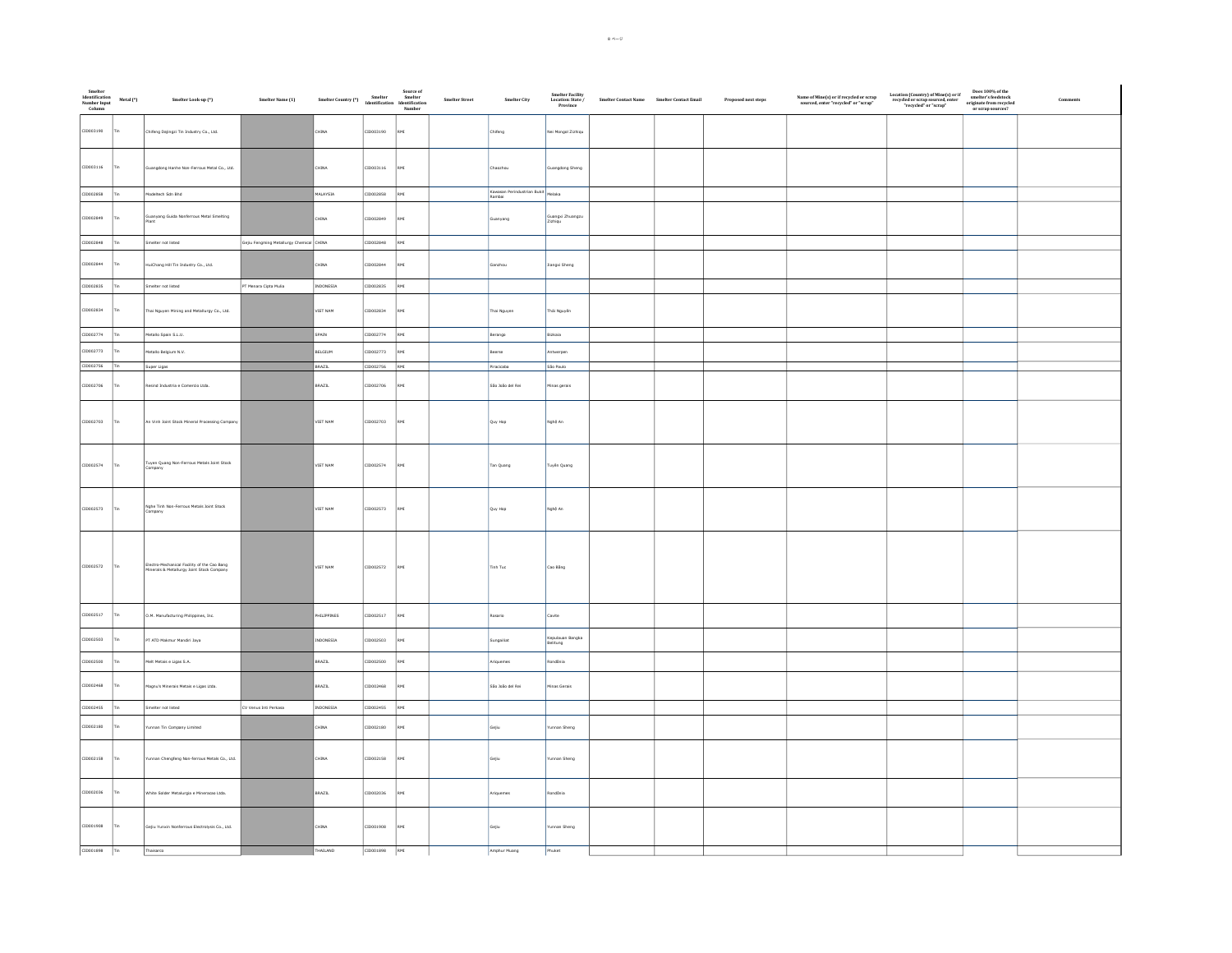| Smelter<br>Identification<br>Number Input<br>Column | Metal (*) | Smelter Look-up (*)                                                                      | Smelter Name (1)                         | Source of<br>Smelter Country (*)<br>Meester Smelter<br>Identification<br>Number<br>Number |           |                | Smelter Street<br>Smelter City        | Smelter Facility<br>Location: State /<br>Province | $\label{eq:1} \textbf{Smelter Contact Name} \qquad \textbf{Smelter Contact Email}$ | Proposed next steps | $\begin{array}{c} \textbf{Name of Mine(s) or if recycled or scrap} \\ \textbf{sourced, enter "recycled" or "scrap"} \end{array}$ | $\begin{array}{c} \text{Location (Country) of Mine(s) or if} \\ \text{recycled or scrap sourced, enter} \\ \text{"recycled" or "scrap"} \end{array}$ | Does $100\%$ of the smelter's feedstock originate from recycled or scrap sources? |  |
|-----------------------------------------------------|-----------|------------------------------------------------------------------------------------------|------------------------------------------|-------------------------------------------------------------------------------------------|-----------|----------------|---------------------------------------|---------------------------------------------------|------------------------------------------------------------------------------------|---------------------|----------------------------------------------------------------------------------------------------------------------------------|------------------------------------------------------------------------------------------------------------------------------------------------------|-----------------------------------------------------------------------------------|--|
| CID003190                                           | Tin       | Chifeng Dajingzi Tin Industry Co., Ltd.                                                  |                                          | CHINA                                                                                     | CID003190 | RMI            | Chifeng                               | Nei Mongol Zizhiqu                                |                                                                                    |                     |                                                                                                                                  |                                                                                                                                                      |                                                                                   |  |
| CID003116                                           | Tin       | Guangdong Hanhe Non-Ferrous Metal Co., Ltd.                                              |                                          | CHINA                                                                                     | CID003116 | RMI            | Chaozhou                              | Guangdong Sheng                                   |                                                                                    |                     |                                                                                                                                  |                                                                                                                                                      |                                                                                   |  |
| CID002858                                           | Tin.      | Modeltech Sdn Bhd                                                                        |                                          | MALAYSIA                                                                                  | CID002858 | RMI            | Kawasan Perindustrian Bukit<br>Rambai |                                                   |                                                                                    |                     |                                                                                                                                  |                                                                                                                                                      |                                                                                   |  |
| CID002849                                           | Tin       | Guanyang Guida Nonferrous Metal Smelting<br>Plant                                        |                                          | CHINA                                                                                     | CID002849 | RMI            | Guanyang                              | Guangxi Zhuangzu<br>Zizhiqu                       |                                                                                    |                     |                                                                                                                                  |                                                                                                                                                      |                                                                                   |  |
| CID002848                                           | Tin.      | Smelter not listed                                                                       | Gejiu Fengming Metallurgy Chemical CHINA |                                                                                           | CID002848 | RMI            |                                       |                                                   |                                                                                    |                     |                                                                                                                                  |                                                                                                                                                      |                                                                                   |  |
| CID002844                                           |           | HuiChang Hill Tin Industry Co., Ltd.                                                     |                                          | CHINA                                                                                     | CID002844 | RMT            | Ganzhou                               | Jiangxi Sheng                                     |                                                                                    |                     |                                                                                                                                  |                                                                                                                                                      |                                                                                   |  |
| CID002835                                           | Tin.      | Smelter not listed                                                                       | PT Menara Cipta Mulia                    | INDONESIA                                                                                 | CID002835 | RMI            |                                       |                                                   |                                                                                    |                     |                                                                                                                                  |                                                                                                                                                      |                                                                                   |  |
| CID002834                                           |           | Thai Nguyen Mining and Metallurgy Co., Ltd.                                              |                                          | VIET NAM                                                                                  | CID002834 | RMI            | Thai Nguyen                           | Thái Nguyễn                                       |                                                                                    |                     |                                                                                                                                  |                                                                                                                                                      |                                                                                   |  |
| CID002774                                           | Tin.      | Metallo Spain S.L.U.                                                                     |                                          | SPAIN                                                                                     | CID002774 | <b>RMT</b>     | Berango                               | Bizkaia                                           |                                                                                    |                     |                                                                                                                                  |                                                                                                                                                      |                                                                                   |  |
| CID002773                                           |           | Metallo Belgium N.V.                                                                     |                                          | BELGIUM                                                                                   | CID002773 | RMI            | Beerse                                | Antwerpen                                         |                                                                                    |                     |                                                                                                                                  |                                                                                                                                                      |                                                                                   |  |
| CID002756                                           | Ima       | Super Ligas                                                                              |                                          | BRAZIL                                                                                    | CID002756 | RMI            | Piracicaba                            | São Paulo                                         |                                                                                    |                     |                                                                                                                                  |                                                                                                                                                      |                                                                                   |  |
| CID002706                                           |           | Resind Industria e Comercio Ltda.                                                        |                                          | BRAZIL                                                                                    | CID002706 | RMT            | São João del Rei                      | Minas gerais                                      |                                                                                    |                     |                                                                                                                                  |                                                                                                                                                      |                                                                                   |  |
| CID002703                                           | Tin       | An Vinh Joint Stock Mineral Processing Company                                           |                                          | VIET NAM                                                                                  | CID002703 | RMI            | Quy Hop                               | Nghệ An                                           |                                                                                    |                     |                                                                                                                                  |                                                                                                                                                      |                                                                                   |  |
| CID002574                                           | Tin       | Tuyen Quang Non-Ferrous Metals Joint Stock<br>Company                                    |                                          | VIET NAM                                                                                  | CID002574 | RMI            | Tan Quang                             | Tuyên Quang                                       |                                                                                    |                     |                                                                                                                                  |                                                                                                                                                      |                                                                                   |  |
| CID002573                                           | Tin.      | Nghe Tinh Non-Ferrous Metals Joint Stock                                                 |                                          | VIET NAM                                                                                  | CID002573 | RMI            | Quy Hop                               | Nghệ An                                           |                                                                                    |                     |                                                                                                                                  |                                                                                                                                                      |                                                                                   |  |
| CID002572                                           | Tin       | Electro-Mechanical Facility of the Cao Bang<br>Minerals & Metallurgy Joint Stock Company |                                          | VIET NAM                                                                                  | CID002572 | RMI            | Tinh Tuc                              | Cao Bằng                                          |                                                                                    |                     |                                                                                                                                  |                                                                                                                                                      |                                                                                   |  |
| CID002517                                           |           | O.M. Manufacturing Philippines, Inc.                                                     |                                          | PHILIPPINES                                                                               | CID002517 | RMI            | tosario                               | Cavite                                            |                                                                                    |                     |                                                                                                                                  |                                                                                                                                                      |                                                                                   |  |
| CID002503                                           |           | PT ATD Makmur Mandiri Jaya                                                               |                                          | INDONESIA                                                                                 | CID002503 | RMT            | ungailiat                             | Kepulauan Bangka<br>Belitung                      |                                                                                    |                     |                                                                                                                                  |                                                                                                                                                      |                                                                                   |  |
| CID002500                                           |           | Melt Metais e Ligas S.A.                                                                 |                                          | BRAZIL                                                                                    | CID002500 | $\mathsf{RMI}$ | Ariquemes                             | Rondônia                                          |                                                                                    |                     |                                                                                                                                  |                                                                                                                                                      |                                                                                   |  |
| CID002468                                           | rio       | Magnu's Minerais Metais e Ligas Ltda.                                                    |                                          | BRAZIL                                                                                    | CID002468 | RMI            | São João del Rei                      | Minas Gerais                                      |                                                                                    |                     |                                                                                                                                  |                                                                                                                                                      |                                                                                   |  |
| CID002455                                           | Tin.      | Smelter not listed                                                                       | CV Venus Inti Perkasa                    | INDONESIA                                                                                 | CID002455 | RMI            |                                       |                                                   |                                                                                    |                     |                                                                                                                                  |                                                                                                                                                      |                                                                                   |  |
| CID002180                                           |           | unnan Tin Company Limited                                                                |                                          | CHINA                                                                                     | CID002180 |                | Gejiu                                 | funnan Sheng                                      |                                                                                    |                     |                                                                                                                                  |                                                                                                                                                      |                                                                                   |  |
| CID002158                                           | Tin.      | Yunnan Chengfeng Non-ferrous Metals Co., Ltd.                                            |                                          | CHINA                                                                                     | CID002158 | RM             | Gejiu                                 | Yunnan Sheng                                      |                                                                                    |                     |                                                                                                                                  |                                                                                                                                                      |                                                                                   |  |
| CID002036                                           | Tin.      | White Solder Metalurgia e Mineracao Ltda.                                                |                                          | BRAZIL                                                                                    | CID002036 | RMI            | Ariquemes                             | Rondônia                                          |                                                                                    |                     |                                                                                                                                  |                                                                                                                                                      |                                                                                   |  |
| CID001908                                           | Tin       | Gejiu Yunxin Nonferrous Electrolysis Co., Ltd.                                           |                                          | CHINA                                                                                     | CID001908 | RMI            | Gejiu                                 | Yunnan Sheng                                      |                                                                                    |                     |                                                                                                                                  |                                                                                                                                                      |                                                                                   |  |
| CID001898 Tin                                       |           | Thaisarco                                                                                |                                          | THAILAND                                                                                  | CID001898 | RMI            | Amphur Muang                          | Phuket                                            |                                                                                    |                     |                                                                                                                                  |                                                                                                                                                      |                                                                                   |  |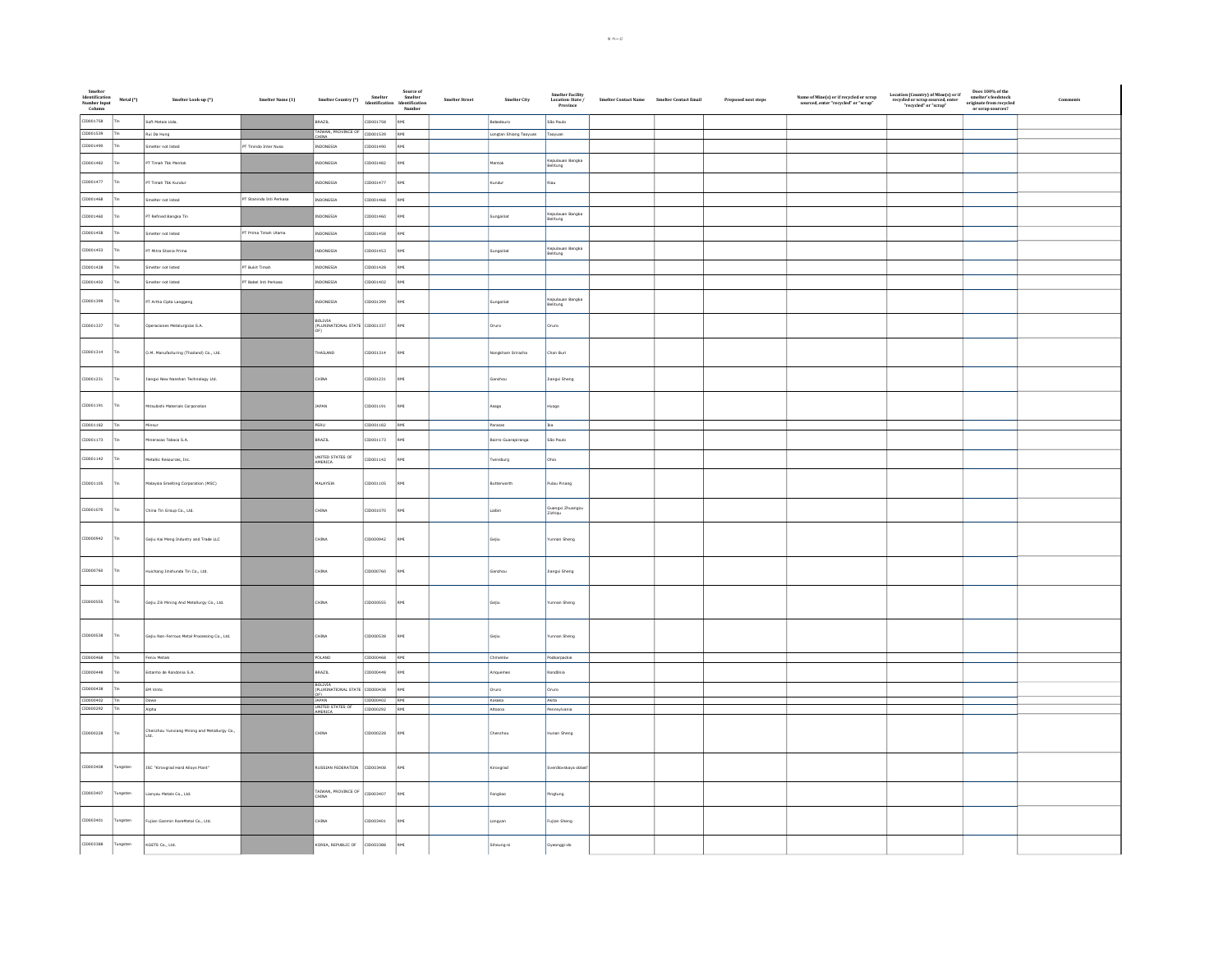| Smelter<br>Identification<br>Number Input<br>Column | Metal (*)  | Smelter Look-up (*)                                         | Smelter Name (1)         | Source of<br>Smelter Country (*)<br>Identification Identification<br>Number |                 |             | Smelter Street | Smelter City           | $\begin{array}{c} \textbf{Smelter Facility} \\ \textbf{Location: State} \; / \\ \; \textbf{Province} \end{array}$ | $\begin{minipage}{.4\linewidth} \emph{Smelter Contact Name} \emph{Smelter Contact Email} \end{minipage}$ | Proposed next steps | $\label{eq:name} \begin{array}{ll} \textbf{Name of Mine(s) or if recycled or scrap} \\ \textbf{sourced, enter "recycled" or "scrap"} \end{array}$ | $\begin{array}{c} \text{Location (Country) of Mine(s) or if} \\ \text{recycled or scrap sourced, enter} \\ \text{"recycled" or "scrap"} \end{array}$ | Does 100% of the<br>smelter's feedstock<br>originate from recycled<br>or scrap sources? |  |
|-----------------------------------------------------|------------|-------------------------------------------------------------|--------------------------|-----------------------------------------------------------------------------|-----------------|-------------|----------------|------------------------|-------------------------------------------------------------------------------------------------------------------|----------------------------------------------------------------------------------------------------------|---------------------|---------------------------------------------------------------------------------------------------------------------------------------------------|------------------------------------------------------------------------------------------------------------------------------------------------------|-----------------------------------------------------------------------------------------|--|
| CID001758                                           |            | Soft Metais Ltda.                                           |                          | BRAZIL                                                                      | 10001758        | RMI         |                | Bebedouro              | São Paulo                                                                                                         |                                                                                                          |                     |                                                                                                                                                   |                                                                                                                                                      |                                                                                         |  |
| CID001539                                           |            | Rui Da Hung                                                 |                          | TAIWAN, PROVINCE OF                                                         | ID001539        | RMI         |                | Longtan Shiang Taoyuan | Taoyuan                                                                                                           |                                                                                                          |                     |                                                                                                                                                   |                                                                                                                                                      |                                                                                         |  |
| CID001490                                           |            | Smelter not listed                                          | PT Tinindo Inter Nusa    | INDONESIA                                                                   | ID001490        | RMI         |                |                        |                                                                                                                   |                                                                                                          |                     |                                                                                                                                                   |                                                                                                                                                      |                                                                                         |  |
| CID001482                                           |            | PT Timah Tbk Mentok                                         |                          | INDONESIA                                                                   | ID001482        | RMI         |                | Mentok                 | Kepulauan Bangka<br>Belitung                                                                                      |                                                                                                          |                     |                                                                                                                                                   |                                                                                                                                                      |                                                                                         |  |
| CID001477                                           |            | PT Timah Tbk Kundur                                         |                          | NDONESIA                                                                    | ID001477        | RMI         |                | .<br>undur             | Riau                                                                                                              |                                                                                                          |                     |                                                                                                                                                   |                                                                                                                                                      |                                                                                         |  |
| CID001468                                           |            | Smelter not listed                                          | PT Stanindo Inti Perkasa | INDONESIA                                                                   | ID001468        | RMI         |                |                        |                                                                                                                   |                                                                                                          |                     |                                                                                                                                                   |                                                                                                                                                      |                                                                                         |  |
| CID001460                                           |            | PT Refined Bangka Tin                                       |                          | NDONESIA                                                                    | ID001460        | $_{\rm RM}$ |                | ungailiat              | Kepulauan Bangka<br>Belitung                                                                                      |                                                                                                          |                     |                                                                                                                                                   |                                                                                                                                                      |                                                                                         |  |
| CID001458                                           | <b>The</b> | Smelter not listed                                          | PT Prima Timah Utama     | INDONESIA                                                                   | CID001458       | RMI         |                |                        |                                                                                                                   |                                                                                                          |                     |                                                                                                                                                   |                                                                                                                                                      |                                                                                         |  |
| CID001453                                           |            | PT Mitra Stania Prima                                       |                          | INDONESIA                                                                   | ID001453        | RMI         |                | Sungailiat             | Kepulauan Bangka<br>Belitung                                                                                      |                                                                                                          |                     |                                                                                                                                                   |                                                                                                                                                      |                                                                                         |  |
| CID001428                                           |            | Smelter not listed                                          | PT Bukit Timah           | NDONESIA                                                                    | ID001428        | RMI         |                |                        |                                                                                                                   |                                                                                                          |                     |                                                                                                                                                   |                                                                                                                                                      |                                                                                         |  |
| CID001402                                           |            | Smelter not listed                                          | PT Babel Inti Perkasa    | INDONESIA                                                                   | ID001402        | RMI         |                |                        |                                                                                                                   |                                                                                                          |                     |                                                                                                                                                   |                                                                                                                                                      |                                                                                         |  |
|                                                     |            |                                                             |                          |                                                                             |                 |             |                |                        |                                                                                                                   |                                                                                                          |                     |                                                                                                                                                   |                                                                                                                                                      |                                                                                         |  |
| CID001399                                           |            | PT Artha Cipta Langgeng                                     |                          | INDONESIA                                                                   | 10001399        | RM3         |                | Sungailiat             | Kepulauan Bangka<br>Belitung                                                                                      |                                                                                                          |                     |                                                                                                                                                   |                                                                                                                                                      |                                                                                         |  |
| CID001337                                           |            | Operaciones Metalurgicas S.A.                               |                          | BOLIVIA<br>(PLURINATIONAL STATE CID001337<br>OF)                            |                 | RMI         |                | Oruro                  | <b>Oruro</b>                                                                                                      |                                                                                                          |                     |                                                                                                                                                   |                                                                                                                                                      |                                                                                         |  |
| CID001314                                           |            | O.M. Manufacturing (Thailand) Co., Ltd.                     |                          | THAILAND                                                                    | ID001314        | RMI         |                | Nongkham Sriracha      | Chon Buri                                                                                                         |                                                                                                          |                     |                                                                                                                                                   |                                                                                                                                                      |                                                                                         |  |
|                                                     |            |                                                             |                          |                                                                             |                 |             |                |                        |                                                                                                                   |                                                                                                          |                     |                                                                                                                                                   |                                                                                                                                                      |                                                                                         |  |
| CID001231                                           |            | liangxi New Nanshan Technology Ltd.                         |                          | CHINA                                                                       | ID001231        | RMI         |                | ianzhou                | Jiangxi Sheng                                                                                                     |                                                                                                          |                     |                                                                                                                                                   |                                                                                                                                                      |                                                                                         |  |
| CID001191                                           |            | tsubishi Materials Corporation                              |                          | JAPAN                                                                       | ID001191        | RMI         |                | Asago                  | lyago                                                                                                             |                                                                                                          |                     |                                                                                                                                                   |                                                                                                                                                      |                                                                                         |  |
| CID001182                                           | -l Tin     | Minsur                                                      |                          | PERU                                                                        | CID001182       | RMI         |                | Paracas                | Ika                                                                                                               |                                                                                                          |                     |                                                                                                                                                   |                                                                                                                                                      |                                                                                         |  |
|                                                     |            |                                                             |                          |                                                                             |                 |             |                |                        |                                                                                                                   |                                                                                                          |                     |                                                                                                                                                   |                                                                                                                                                      |                                                                                         |  |
| CID001173                                           |            | ineracao Taboca S.A.                                        |                          | BRAZIL                                                                      | ID001173        | RMI         |                | Bairro Guarapiranga    | São Paulo                                                                                                         |                                                                                                          |                     |                                                                                                                                                   |                                                                                                                                                      |                                                                                         |  |
| CID001142                                           |            | Metallic Resources, Inc.                                    |                          | UNITED STATES OF<br>AMERICA                                                 | ID001142        | RMI         |                | pudaniwi               | Ohio                                                                                                              |                                                                                                          |                     |                                                                                                                                                   |                                                                                                                                                      |                                                                                         |  |
| CID001105                                           |            | laysia Smelting Corporation (MSC)                           |                          | MALAYSIA                                                                    | ID001105        | RMI         |                | utterworth             | ulau Pinang                                                                                                       |                                                                                                          |                     |                                                                                                                                                   |                                                                                                                                                      |                                                                                         |  |
| CID001070                                           |            | .<br>China Tin Group Co., Ltd.                              |                          | <b>CHINA</b>                                                                | ID001070        | RMI         |                | Laibin                 | Guangxi Zhuangzu<br>Zizhiqu                                                                                       |                                                                                                          |                     |                                                                                                                                                   |                                                                                                                                                      |                                                                                         |  |
| CID000942                                           |            | Sejiu Kai Meng Industry and Trade LLC                       |                          | CHINA                                                                       | 10000942        | RM1         |                | Gejiu                  | funnan Sheng                                                                                                      |                                                                                                          |                     |                                                                                                                                                   |                                                                                                                                                      |                                                                                         |  |
|                                                     |            |                                                             |                          |                                                                             |                 |             |                |                        |                                                                                                                   |                                                                                                          |                     |                                                                                                                                                   |                                                                                                                                                      |                                                                                         |  |
| CID000760                                           |            | Huichang Jinshunda Tin Co., Ltd.                            |                          | CHINA                                                                       | 10000760        | RMI         |                | Sanzhou                | Jiangxi Sheng                                                                                                     |                                                                                                          |                     |                                                                                                                                                   |                                                                                                                                                      |                                                                                         |  |
|                                                     |            |                                                             |                          |                                                                             |                 |             |                |                        |                                                                                                                   |                                                                                                          |                     |                                                                                                                                                   |                                                                                                                                                      |                                                                                         |  |
| CID000555                                           |            | Gejiu Zili Mining And Metallurgy Co., Ltd.                  |                          | CHINA                                                                       | 22200001        | RMI         |                | Gejiu                  | unnan Sheng                                                                                                       |                                                                                                          |                     |                                                                                                                                                   |                                                                                                                                                      |                                                                                         |  |
|                                                     |            |                                                             |                          |                                                                             |                 |             |                |                        |                                                                                                                   |                                                                                                          |                     |                                                                                                                                                   |                                                                                                                                                      |                                                                                         |  |
| CID000538                                           |            | Gejiu Non-Ferrous Metal Processing Co., Ltd.                |                          | CHINA                                                                       | CID000538       | RMI         |                | Gejiu                  | runnan Sheng                                                                                                      |                                                                                                          |                     |                                                                                                                                                   |                                                                                                                                                      |                                                                                         |  |
|                                                     |            |                                                             |                          |                                                                             |                 |             |                |                        |                                                                                                                   |                                                                                                          |                     |                                                                                                                                                   |                                                                                                                                                      |                                                                                         |  |
| CID000468 Tin                                       |            | Fenix Metals                                                |                          | POLAND                                                                      | $CID000468$ RMI |             |                | Chmielów               | Podkarpackie                                                                                                      |                                                                                                          |                     |                                                                                                                                                   |                                                                                                                                                      |                                                                                         |  |
| CID000448                                           |            | Estanho de Rondonia S.A.                                    |                          | BRAZIL                                                                      | ID000448        | RMI         |                | Ariquemes              | Rondônia                                                                                                          |                                                                                                          |                     |                                                                                                                                                   |                                                                                                                                                      |                                                                                         |  |
| CID000438                                           |            | EM Vinto                                                    |                          | BOLIVIA<br>(PLURINATIONAL STATE                                             | ID000438        | RMI         |                | Oruro                  | Oruro                                                                                                             |                                                                                                          |                     |                                                                                                                                                   |                                                                                                                                                      |                                                                                         |  |
| CID000402 Tin                                       |            | Dowa                                                        |                          | JAPAN<br>UNITED STATES OF                                                   | CID000402       | RMI         |                | Kosaka                 | Akita                                                                                                             |                                                                                                          |                     |                                                                                                                                                   |                                                                                                                                                      |                                                                                         |  |
| CID000292 Tin                                       |            | Alpha                                                       |                          |                                                                             | CID000292       | RMI         |                | Altoona                | Pennsylvania                                                                                                      |                                                                                                          |                     |                                                                                                                                                   |                                                                                                                                                      |                                                                                         |  |
|                                                     |            |                                                             |                          |                                                                             |                 |             |                |                        |                                                                                                                   |                                                                                                          |                     |                                                                                                                                                   |                                                                                                                                                      |                                                                                         |  |
| CID000228                                           | Tin        | <b>Chenzhou Yunxiang Mining and Metallurgy Co.,</b><br>Ltd. |                          | CHINA                                                                       | CID000228       | $_{\rm RM}$ |                | Chenzhou               | Hunan Sheng                                                                                                       |                                                                                                          |                     |                                                                                                                                                   |                                                                                                                                                      |                                                                                         |  |
|                                                     |            |                                                             |                          |                                                                             |                 |             |                |                        |                                                                                                                   |                                                                                                          |                     |                                                                                                                                                   |                                                                                                                                                      |                                                                                         |  |
| CID003408                                           | ungsten    | JSC "Kirovgrad Hard Alloys Plant"                           |                          | RUSSIAN FEDERATION                                                          | 30450001        | RMI         |                | lirovgrad              | iverdlovskaya oblas                                                                                               |                                                                                                          |                     |                                                                                                                                                   |                                                                                                                                                      |                                                                                         |  |
| CID003407                                           | ungsten    | .<br>Janyou Metals Co., Ltd.                                |                          | TAIWAN, PROVINCE OF<br>CHINA                                                | ID003407        | RMI         |                | Fangliao               | ingtung                                                                                                           |                                                                                                          |                     |                                                                                                                                                   |                                                                                                                                                      |                                                                                         |  |
|                                                     |            |                                                             |                          |                                                                             |                 |             |                |                        |                                                                                                                   |                                                                                                          |                     |                                                                                                                                                   |                                                                                                                                                      |                                                                                         |  |
| CID003401                                           | Fungsten   | Fujian Ganmin RareMetal Co., Ltd.                           |                          | CHINA                                                                       | CID003401       | RMI         |                | ongyan                 | Fujian Sheng                                                                                                      |                                                                                                          |                     |                                                                                                                                                   |                                                                                                                                                      |                                                                                         |  |
| CID003388                                           | Tungsten   | KGETS Co., Ltd.                                             |                          | KOREA, REPUBLIC OF                                                          | 10003388        | RMI         |                | iiheung-si             | .<br>Syeonggi-do                                                                                                  |                                                                                                          |                     |                                                                                                                                                   |                                                                                                                                                      |                                                                                         |  |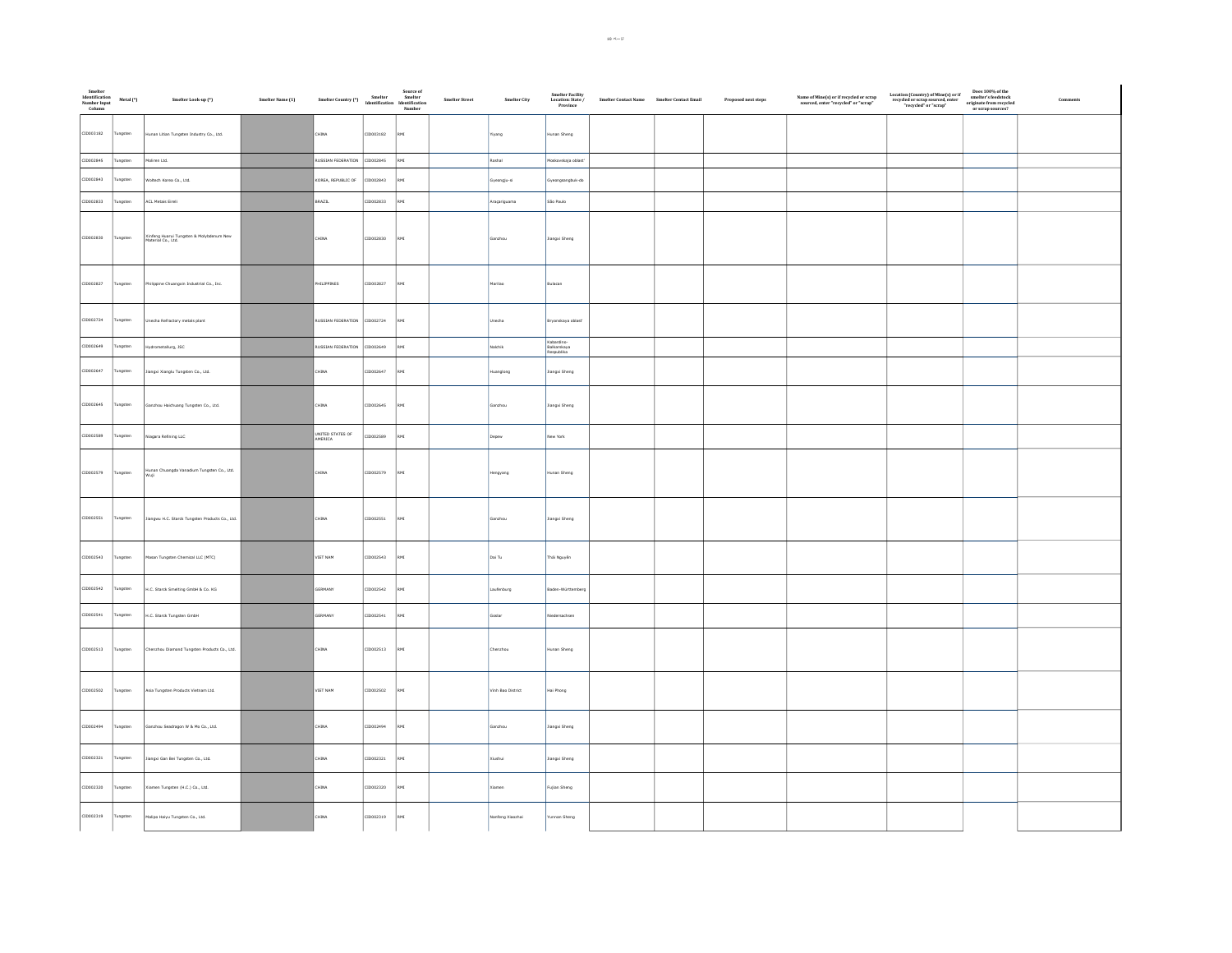| Smelter<br>Identification<br>Number Input<br>Column | Metal (*) | Smelter Look-up (*)                                                 | Smelter Name (1) | Source of<br>Smelter Country (*)<br>Smelter Memeltication<br>Identification<br>Number |           |     | Smelter Street | Smelter City      | Smelter Facility<br>Location: State /<br>Province | Smelter Contact Name Smelter Contact Email | Proposed next steps | $\begin{array}{c} \textbf{Name of Mine(s) or if} \\ \textbf{sourced, enter "recycled" or "scrap"} \end{array}$ | $\begin{tabular}{ll} Location (Country) of Mine(s) or if & Does 100\% of therecycled or scrap source, enter & smaller for mergeded``recycled or "scrap" ∨ string sources? \end{tabular}$ | Comments |
|-----------------------------------------------------|-----------|---------------------------------------------------------------------|------------------|---------------------------------------------------------------------------------------|-----------|-----|----------------|-------------------|---------------------------------------------------|--------------------------------------------|---------------------|----------------------------------------------------------------------------------------------------------------|------------------------------------------------------------------------------------------------------------------------------------------------------------------------------------------|----------|
| CID003182                                           | Tungsten  | Hunan Litian Tungsten Industry Co., Ltd.                            |                  | CHINA                                                                                 | CID003182 |     |                | iyang             | Hunan Sheng                                       |                                            |                     |                                                                                                                |                                                                                                                                                                                          |          |
| CID002845                                           | Tungsten  | Moliren Ltd.                                                        |                  | RUSSIAN FEDERATION CID002845                                                          |           | RMI |                | Roshal            | Moskovskaja oblasť                                |                                            |                     |                                                                                                                |                                                                                                                                                                                          |          |
| CID002843                                           | Tungsten  | Woltech Korea Co., Ltd.                                             |                  | KOREA, REPUBLIC OF                                                                    | CIDO02843 | RMT |                | iyeongju-si       | Gyeongsangbuk-do                                  |                                            |                     |                                                                                                                |                                                                                                                                                                                          |          |
| CID002833                                           | ungsten   | ACL Metais Eireli                                                   |                  | BRAZIL                                                                                | CID002833 | RMI |                | Araçariguama      | São Paulo                                         |                                            |                     |                                                                                                                |                                                                                                                                                                                          |          |
| CID002830                                           | Tungsten  | .<br>Xinfeng Huarui Tungsten & Molybdenum New<br>Material Co., Ltd. |                  | CHINA                                                                                 | CID002830 | RMI |                | anzhou            | Jiangxi Sheng                                     |                                            |                     |                                                                                                                |                                                                                                                                                                                          |          |
| CID002827                                           | Tungsten  | Philippine Chuangxin Industrial Co., Inc.                           |                  | PHILIPPINES                                                                           | CID002827 | RMI |                | tarilao           | Bulacan                                           |                                            |                     |                                                                                                                |                                                                                                                                                                                          |          |
| CID002724                                           | Tungsten  | Unecha Refractory metals plant                                      |                  | RUSSIAN FEDERATION CID002724                                                          |           | RMI |                | <b>Jnecha</b>     | Bryanskaya oblast'                                |                                            |                     |                                                                                                                |                                                                                                                                                                                          |          |
| CID002649                                           | Tungsten  | Hydrometallurg, JSC                                                 |                  | RUSSIAN FEDERATION CID002649                                                          |           | RMI |                | Nalchik           | Kabardino<br>Balkarskaya<br>Respublika            |                                            |                     |                                                                                                                |                                                                                                                                                                                          |          |
| CID002647                                           | ungsten   | .<br>Jiangxi Xianglu Tungsten Co., Ltd.                             |                  | <b>CHINA</b>                                                                          | CID002647 |     |                | luanglong         | Jiangxi Sheng                                     |                                            |                     |                                                                                                                |                                                                                                                                                                                          |          |
| CID002645                                           | Tungsten  | Ganzhou Haichuang Tungsten Co., Ltd.                                |                  | CHINA                                                                                 | CID002645 | RMI |                | Ganzhou           | Jiangxi Sheng                                     |                                            |                     |                                                                                                                |                                                                                                                                                                                          |          |
| CID002589                                           | ungsten   | Niagara Refining LLC                                                |                  | UNITED STATES OF                                                                      | CID002589 | RMI |                | Depew             | New York                                          |                                            |                     |                                                                                                                |                                                                                                                                                                                          |          |
| CID002579                                           | Tungsten  | .<br>Hunan Chuangda Vanadium Tungsten Co., Ltd.<br>Wuji             |                  | CHINA                                                                                 | CID002579 | RMT |                | Hengyang          | Hunan Sheng                                       |                                            |                     |                                                                                                                |                                                                                                                                                                                          |          |
| CID002551                                           | Tungsten  | Jiangwu H.C. Starck Tungsten Products Co., Ltd.                     |                  | CHINA                                                                                 | CID002551 | RMI |                | Ganzhou           | Jiangxi Sheng                                     |                                            |                     |                                                                                                                |                                                                                                                                                                                          |          |
| CID002543                                           | Tungsten  | Masan Tungsten Chemical LLC (MTC)                                   |                  | VIET NAM                                                                              | CID002543 | RMI |                | Dai Tu            | Thái Nguyễn                                       |                                            |                     |                                                                                                                |                                                                                                                                                                                          |          |
| CID002542                                           | Tungsten  | H.C. Starck Smelting GmbH & Co. KG                                  |                  | GERMANY                                                                               | CID002542 | RMI |                | Laufenburg        | Baden-Württemberg                                 |                                            |                     |                                                                                                                |                                                                                                                                                                                          |          |
| CID002541                                           | ungsten   | H.C. Starck Tungsten GmbH                                           |                  | ERMANY                                                                                | CID002541 |     |                | ioslar            | tiedersachsen                                     |                                            |                     |                                                                                                                |                                                                                                                                                                                          |          |
| CID002513                                           | Tungsten  | Chenzhou Diamond Tungsten Products Co., Ltd.                        |                  | CHINA                                                                                 | CID002513 | RMI |                | Chenzhou          | Hunan Sheng                                       |                                            |                     |                                                                                                                |                                                                                                                                                                                          |          |
| CID002502                                           | Tungsten  | Asia Tungsten Products Vietnam Ltd.                                 |                  | VIET NAM                                                                              | CID002502 | RMI |                | Vinh Bao District | Hai Phong                                         |                                            |                     |                                                                                                                |                                                                                                                                                                                          |          |
| CID002494                                           | Tungsten  | Ganzhou Seadragon W & Mo Co., Ltd.                                  |                  | CHINA                                                                                 | CID002494 | RMI |                | Ganzhou           | <b>Jiangxi Sheng</b>                              |                                            |                     |                                                                                                                |                                                                                                                                                                                          |          |
| CID002321                                           | ungsten   | Jiangxi Gan Bei Tungsten Co., Ltd.                                  |                  | CHINA                                                                                 | CID002321 | RMI |                | Kiushui           | Jiangxi Sheng                                     |                                            |                     |                                                                                                                |                                                                                                                                                                                          |          |
| CID002320                                           | Tungsten  | Xiamen Tungsten (H.C.) Co., Ltd.                                    |                  | CHINA                                                                                 | CID002320 |     |                | iamen             | Fujian Sheng                                      |                                            |                     |                                                                                                                |                                                                                                                                                                                          |          |
| CID002319                                           | Tungsten  | Malipo Haiyu Tungsten Co., Ltd.                                     |                  | CHINA                                                                                 | CID002319 | RMI |                | Nanfeng Xiaozhai  | Yunnan Sheng                                      |                                            |                     |                                                                                                                |                                                                                                                                                                                          |          |